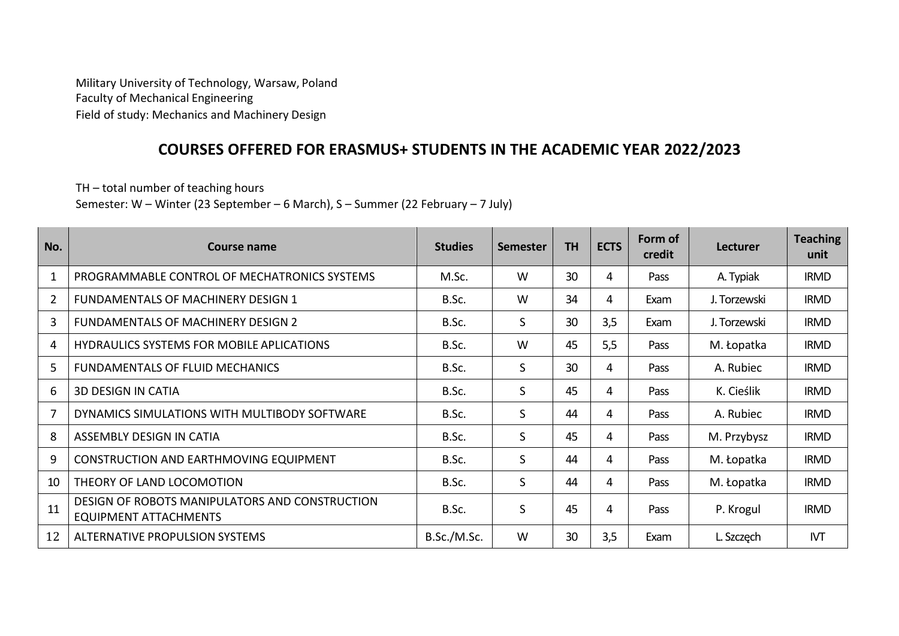Military University of Technology, Warsaw, Poland Faculty of Mechanical Engineering Field of study: Mechanics and Machinery Design

# **COURSES OFFERED FOR ERASMUS+ STUDENTS IN THE ACADEMIC YEAR 2022/2023**

TH – total number of teaching hours

Semester: W – Winter (23 September – 6 March), S – Summer (22 February – 7 July)

| No.            | Course name                                                                    | <b>Studies</b> | <b>Semester</b> | <b>TH</b> | <b>ECTS</b> | Form of<br>credit | <b>Lecturer</b> | <b>Teaching</b><br>unit |
|----------------|--------------------------------------------------------------------------------|----------------|-----------------|-----------|-------------|-------------------|-----------------|-------------------------|
| 1              | PROGRAMMABLE CONTROL OF MECHATRONICS SYSTEMS                                   | M.Sc.          | W               | 30        | 4           | Pass              | A. Typiak       | <b>IRMD</b>             |
| $\overline{2}$ | FUNDAMENTALS OF MACHINERY DESIGN 1                                             | B.Sc.          | W               | 34        | 4           | Exam              | J. Torzewski    | <b>IRMD</b>             |
| 3              | <b>FUNDAMENTALS OF MACHINERY DESIGN 2</b>                                      | B.Sc.          | S               | 30        | 3,5         | Exam              | J. Torzewski    | <b>IRMD</b>             |
| 4              | <b>HYDRAULICS SYSTEMS FOR MOBILE APLICATIONS</b>                               | B.Sc.          | W               | 45        | 5,5         | Pass              | M. Łopatka      | <b>IRMD</b>             |
| 5              | <b>FUNDAMENTALS OF FLUID MECHANICS</b>                                         | B.Sc.          | S.              | 30        | 4           | Pass              | A. Rubiec       | <b>IRMD</b>             |
| 6              | <b>3D DESIGN IN CATIA</b>                                                      | B.Sc.          | S               | 45        | 4           | Pass              | K. Cieślik      | <b>IRMD</b>             |
| 7              | DYNAMICS SIMULATIONS WITH MULTIBODY SOFTWARE                                   | B.Sc.          | S               | 44        | 4           | Pass              | A. Rubiec       | <b>IRMD</b>             |
| 8              | ASSEMBLY DESIGN IN CATIA                                                       | B.Sc.          | S.              | 45        | 4           | Pass              | M. Przybysz     | <b>IRMD</b>             |
| 9              | CONSTRUCTION AND EARTHMOVING EQUIPMENT                                         | B.Sc.          | S               | 44        | 4           | Pass              | M. Łopatka      | <b>IRMD</b>             |
| 10             | THEORY OF LAND LOCOMOTION                                                      | B.Sc.          | S               | 44        | 4           | Pass              | M. Łopatka      | <b>IRMD</b>             |
| 11             | DESIGN OF ROBOTS MANIPULATORS AND CONSTRUCTION<br><b>EQUIPMENT ATTACHMENTS</b> | B.Sc.          | S               | 45        | 4           | Pass              | P. Krogul       | <b>IRMD</b>             |
| 12             | <b>ALTERNATIVE PROPULSION SYSTEMS</b>                                          | B.Sc./M.Sc.    | W               | 30        | 3,5         | Exam              | L. Szczęch      | <b>IVT</b>              |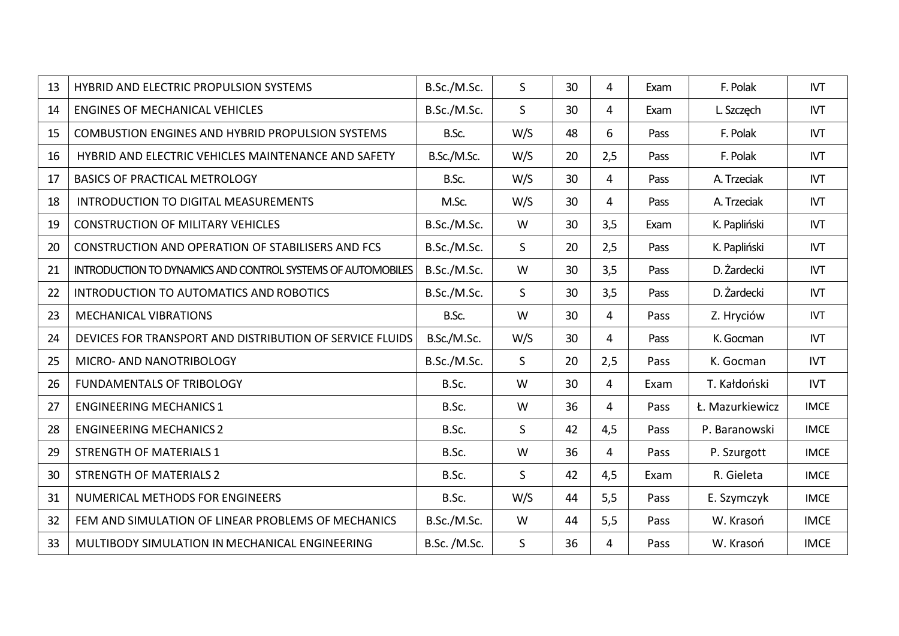| 13 | HYBRID AND ELECTRIC PROPULSION SYSTEMS                             | B.Sc./M.Sc.         | $\mathsf{S}$ | 30 | 4   | Exam | F. Polak        | IVT         |
|----|--------------------------------------------------------------------|---------------------|--------------|----|-----|------|-----------------|-------------|
| 14 | <b>ENGINES OF MECHANICAL VEHICLES</b>                              | B.Sc./M.Sc.         | S.           | 30 | 4   | Exam | L. Szczęch      | <b>IVT</b>  |
| 15 | <b>COMBUSTION ENGINES AND HYBRID PROPULSION SYSTEMS</b>            | B.Sc.               | W/S          | 48 | 6   | Pass | F. Polak        | <b>IVT</b>  |
| 16 | HYBRID AND ELECTRIC VEHICLES MAINTENANCE AND SAFETY                | B.Sc./M.Sc.         | W/S          | 20 | 2,5 | Pass | F. Polak        | <b>IVT</b>  |
| 17 | <b>BASICS OF PRACTICAL METROLOGY</b>                               | B.Sc.               | W/S          | 30 | 4   | Pass | A. Trzeciak     | <b>IVT</b>  |
| 18 | INTRODUCTION TO DIGITAL MEASUREMENTS                               | M.Sc.               | W/S          | 30 | 4   | Pass | A. Trzeciak     | <b>IVT</b>  |
| 19 | <b>CONSTRUCTION OF MILITARY VEHICLES</b>                           | B.Sc./M.Sc.         | W            | 30 | 3,5 | Exam | K. Papliński    | <b>IVT</b>  |
| 20 | CONSTRUCTION AND OPERATION OF STABILISERS AND FCS                  | B.Sc./M.Sc.         | S            | 20 | 2,5 | Pass | K. Papliński    | <b>IVT</b>  |
| 21 | <b>INTRODUCTION TO DYNAMICS AND CONTROL SYSTEMS OF AUTOMOBILES</b> | B.Sc./M.Sc.         | W            | 30 | 3,5 | Pass | D. Żardecki     | <b>IVT</b>  |
| 22 | <b>INTRODUCTION TO AUTOMATICS AND ROBOTICS</b>                     | B.Sc./M.Sc.         | S            | 30 | 3,5 | Pass | D. Żardecki     | <b>IVT</b>  |
| 23 | <b>MECHANICAL VIBRATIONS</b>                                       | B.Sc.               | W            | 30 | 4   | Pass | Z. Hryciów      | <b>IVT</b>  |
| 24 | DEVICES FOR TRANSPORT AND DISTRIBUTION OF SERVICE FLUIDS           | B.Sc./M.Sc.         | W/S          | 30 | 4   | Pass | K. Gocman       | <b>IVT</b>  |
| 25 | MICRO- AND NANOTRIBOLOGY                                           | B.Sc./M.Sc.         | S            | 20 | 2,5 | Pass | K. Gocman       | <b>IVT</b>  |
| 26 | <b>FUNDAMENTALS OF TRIBOLOGY</b>                                   | B.Sc.               | W            | 30 | 4   | Exam | T. Kałdoński    | <b>IVT</b>  |
| 27 | <b>ENGINEERING MECHANICS 1</b>                                     | B.Sc.               | W            | 36 | 4   | Pass | Ł. Mazurkiewicz | <b>IMCE</b> |
| 28 | <b>ENGINEERING MECHANICS 2</b>                                     | B.Sc.               | S            | 42 | 4,5 | Pass | P. Baranowski   | <b>IMCE</b> |
| 29 | <b>STRENGTH OF MATERIALS 1</b>                                     | B.Sc.               | W            | 36 | 4   | Pass | P. Szurgott     | <b>IMCE</b> |
| 30 | <b>STRENGTH OF MATERIALS 2</b>                                     | B.Sc.               | S            | 42 | 4,5 | Exam | R. Gieleta      | <b>IMCE</b> |
| 31 | NUMERICAL METHODS FOR ENGINEERS                                    | B.Sc.               | W/S          | 44 | 5,5 | Pass | E. Szymczyk     | <b>IMCE</b> |
| 32 | FEM AND SIMULATION OF LINEAR PROBLEMS OF MECHANICS                 | B.Sc./M.Sc.         | W            | 44 | 5,5 | Pass | W. Krasoń       | <b>IMCE</b> |
| 33 | MULTIBODY SIMULATION IN MECHANICAL ENGINEERING                     | <b>B.Sc. /M.Sc.</b> | S            | 36 | 4   | Pass | W. Krasoń       | <b>IMCE</b> |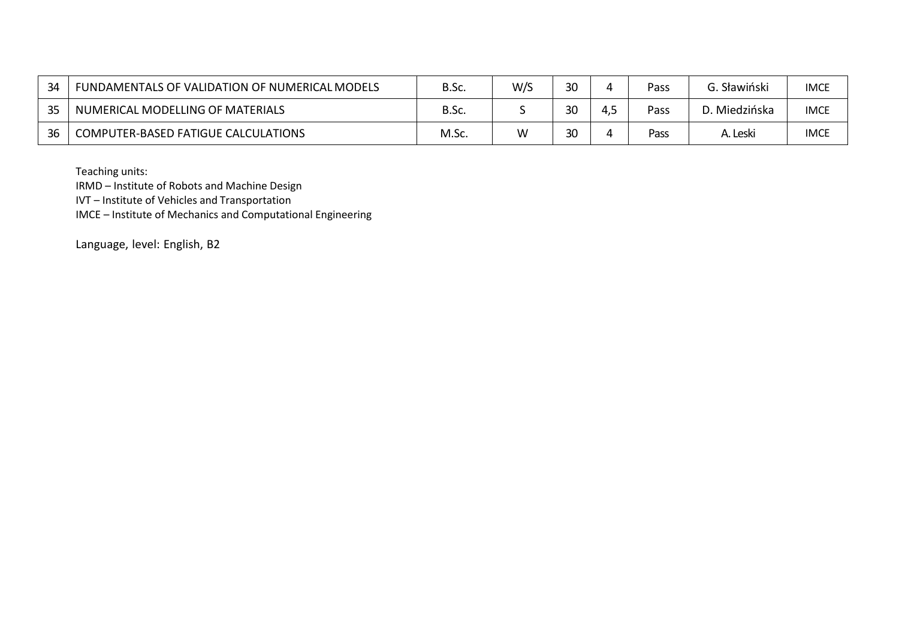| 34 | FUNDAMENTALS OF VALIDATION OF NUMERICAL MODELS | B.Sc. | W/S | 30 |      | Pass | G. Sławiński  | <b>IMCE</b> |
|----|------------------------------------------------|-------|-----|----|------|------|---------------|-------------|
| 25 | NUMERICAL MODELLING OF MATERIALS               | B.Sc. |     | 30 | -4.L | Pass | D. Miedzińska | <b>IMCE</b> |
| 36 | COMPUTER-BASED FATIGUE CALCULATIONS            | M.Sc. | W   | 30 |      | Pass | A. Leski      | <b>IMCE</b> |

Teaching units:

IRMD – Institute of Robots and Machine Design

IVT – Institute of Vehicles and Transportation

IMCE – Institute of Mechanics and Computational Engineering

Language, level: English, B2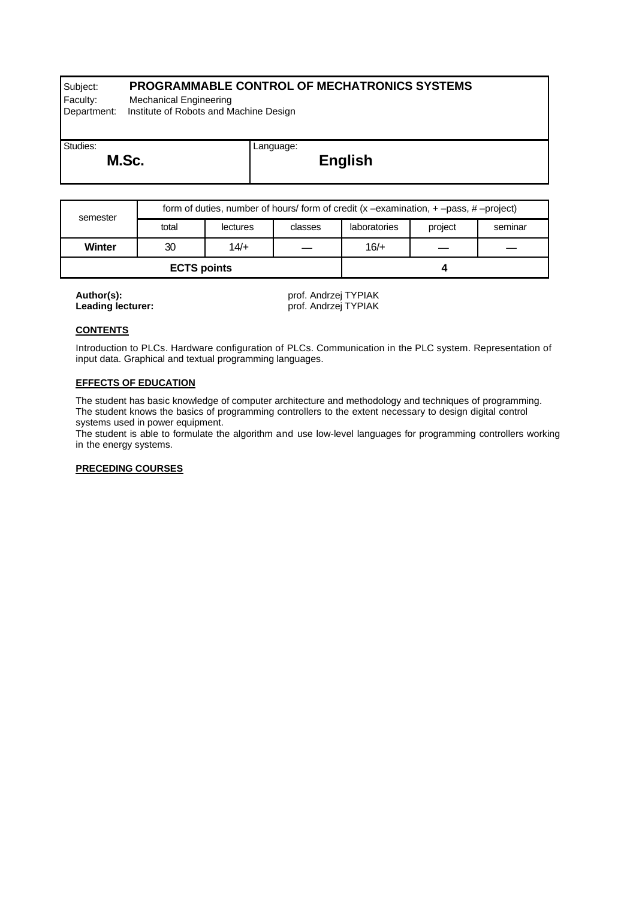# Subject: **PROGRAMMABLE CONTROL OF MECHATRONICS SYSTEMS**

Language:

Faculty: Mechanical Engineering

Department: Institute of Robots and Machine Design

Studies: **M.Sc.**

**English**

| semester | form of duties, number of hours/form of credit $(x - e^x)$ –examination, $x + -p$ ass, $x + p$ –project) |          |         |              |         |         |  |  |
|----------|----------------------------------------------------------------------------------------------------------|----------|---------|--------------|---------|---------|--|--|
|          | total                                                                                                    | lectures | classes | laboratories | project | seminar |  |  |
| Winter   | 30                                                                                                       | $14/+$   |         | $16/+$       |         |         |  |  |
|          | <b>ECTS points</b>                                                                                       |          |         |              |         |         |  |  |

**Author(s):**<br> **Leading lecturer:**<br> **Leading lecturer:**<br> **Prof. Andrzej TYPIAK Leading lecturer:** prof. Andrzej TYPIAK

# **CONTENTS**

Introduction to PLCs. Hardware configuration of PLCs. Communication in the PLC system. Representation of input data. Graphical and textual programming languages.

# **EFFECTS OF EDUCATION**

The student has basic knowledge of computer architecture and methodology and techniques of programming. The student knows the basics of programming controllers to the extent necessary to design digital control systems used in power equipment.

The student is able to formulate the algorithm and use low-level languages for programming controllers working in the energy systems.

# **PRECEDING COURSES**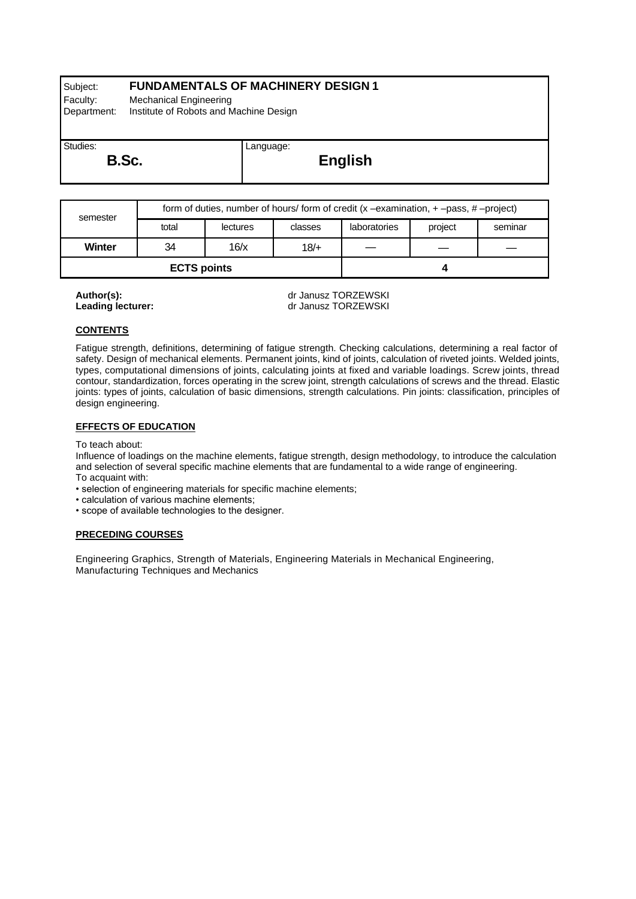# Subject: **FUNDAMENTALS OF MACHINERY DESIGN 1**

Language:

Faculty: Mechanical Engineering

Department: Institute of Robots and Machine Design

Studies: **B.Sc.**

**English**

| semester | form of duties, number of hours/form of credit $(x - e^x)$ –examination, $x + e^x$ –pass, $x + e^x$ –project) |          |         |              |         |         |  |  |
|----------|---------------------------------------------------------------------------------------------------------------|----------|---------|--------------|---------|---------|--|--|
|          | total                                                                                                         | lectures | classes | laboratories | project | seminar |  |  |
| Winter   | 34                                                                                                            | 16/x     | $18/+$  |              |         |         |  |  |
|          | <b>ECTS points</b>                                                                                            |          |         |              |         |         |  |  |

**Author(s):**<br> **Leading lecturer:**<br> **Leading lecturer:**<br> **Compare Strategies Are Strategies Are Authority of Janusz TORZEWSKI Leading lecturer:** dr Janusz TORZEWSKI

## **CONTENTS**

Fatigue strength, definitions, determining of fatigue strength. Checking calculations, determining a real factor of safety. Design of mechanical elements. Permanent joints, kind of joints, calculation of riveted joints. Welded joints, types, computational dimensions of joints, calculating joints at fixed and variable loadings. Screw joints, thread contour, standardization, forces operating in the screw joint, strength calculations of screws and the thread. Elastic joints: types of joints, calculation of basic dimensions, strength calculations. Pin joints: classification, principles of design engineering.

# **EFFECTS OF EDUCATION**

To teach about:

Influence of loadings on the machine elements, fatigue strength, design methodology, to introduce the calculation and selection of several specific machine elements that are fundamental to a wide range of engineering. To acquaint with:

• selection of engineering materials for specific machine elements;

• calculation of various machine elements;

• scope of available technologies to the designer.

## **PRECEDING COURSES**

Engineering Graphics, Strength of Materials, Engineering Materials in Mechanical Engineering, Manufacturing Techniques and Mechanics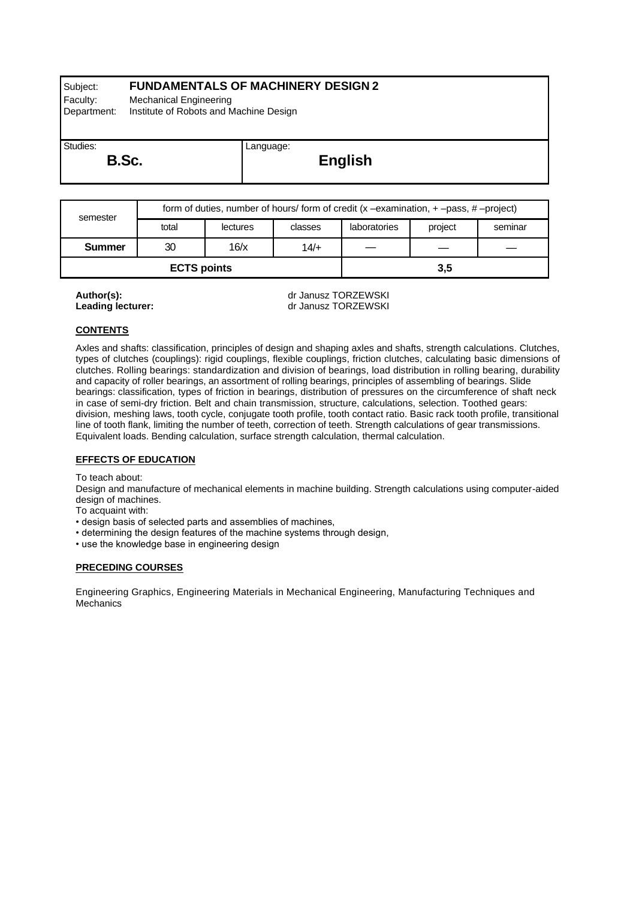# Subject: **FUNDAMENTALS OF MACHINERY DESIGN 2**

Language:

Faculty: Mechanical Engineering

Department: Institute of Robots and Machine Design

| Studies: |       |
|----------|-------|
|          | B.Sc. |

**English**

| semester      |                    | form of duties, number of hours/form of credit $(x - e^x)$ –examination, $x + -p$ ass, $x + p$ –project) |         |                                    |  |  |  |  |
|---------------|--------------------|----------------------------------------------------------------------------------------------------------|---------|------------------------------------|--|--|--|--|
|               | total              | lectures                                                                                                 | classes | project<br>laboratories<br>seminar |  |  |  |  |
| <b>Summer</b> | 30                 | 16/x                                                                                                     | $14/+$  |                                    |  |  |  |  |
|               | <b>ECTS points</b> |                                                                                                          |         | 3.5                                |  |  |  |  |

**Author(s):**<br> **Leading lecturer:**<br> **Leading lecturer:**<br> **Compare Strategies Are Strategies Are Authority of Janusz TORZEWSKI Leading lecturer:** dr Janusz TORZEWSKI

# **CONTENTS**

Axles and shafts: classification, principles of design and shaping axles and shafts, strength calculations. Clutches, types of clutches (couplings): rigid couplings, flexible couplings, friction clutches, calculating basic dimensions of clutches. Rolling bearings: standardization and division of bearings, load distribution in rolling bearing, durability and capacity of roller bearings, an assortment of rolling bearings, principles of assembling of bearings. Slide bearings: classification, types of friction in bearings, distribution of pressures on the circumference of shaft neck in case of semi-dry friction. Belt and chain transmission, structure, calculations, selection. Toothed gears: division, meshing laws, tooth cycle, conjugate tooth profile, tooth contact ratio. Basic rack tooth profile, transitional line of tooth flank, limiting the number of teeth, correction of teeth. Strength calculations of gear transmissions. Equivalent loads. Bending calculation, surface strength calculation, thermal calculation.

# **EFFECTS OF EDUCATION**

To teach about:

Design and manufacture of mechanical elements in machine building. Strength calculations using computer-aided design of machines.

To acquaint with:

• design basis of selected parts and assemblies of machines,

- determining the design features of the machine systems through design,
- use the knowledge base in engineering design

## **PRECEDING COURSES**

Engineering Graphics, Engineering Materials in Mechanical Engineering, Manufacturing Techniques and **Mechanics**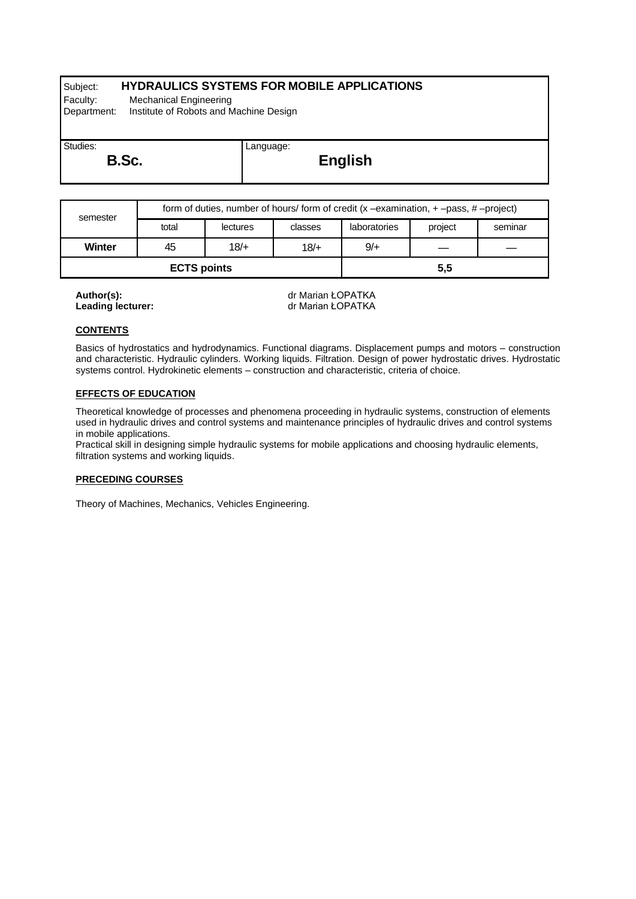# Subject: **HYDRAULICS SYSTEMS FOR MOBILE APPLICATIONS**

Language:

Faculty: Mechanical Engineering

Department: Institute of Robots and Machine Design

| Studies: |  |
|----------|--|
|          |  |

**English**

| semester | form of duties, number of hours/form of credit $(x - e^x)$ -examination, $x - e^x$ -pass, $x + e^x$ |          |         |              |         |         |  |  |
|----------|-----------------------------------------------------------------------------------------------------|----------|---------|--------------|---------|---------|--|--|
|          | total                                                                                               | lectures | classes | laboratories | project | seminar |  |  |
| Winter   | 45                                                                                                  | $18/$ +  | $18/+$  | 9/           |         |         |  |  |
|          | <b>ECTS points</b>                                                                                  |          |         | 5.5          |         |         |  |  |

**Leading** lecturer:

**Author(s):**<br> **Leading lecturer:**<br>
Leading lecturer:<br>  $\begin{array}{ccc}\n\bullet & \bullet & \bullet \\
\bullet & \bullet & \bullet \\
\bullet & \bullet & \bullet\n\end{array}$  dr Marian ŁOPATKA

## **CONTENTS**

Basics of hydrostatics and hydrodynamics. Functional diagrams. Displacement pumps and motors – construction and characteristic. Hydraulic cylinders. Working liquids. Filtration. Design of power hydrostatic drives. Hydrostatic systems control. Hydrokinetic elements – construction and characteristic, criteria of choice.

## **EFFECTS OF EDUCATION**

Theoretical knowledge of processes and phenomena proceeding in hydraulic systems, construction of elements used in hydraulic drives and control systems and maintenance principles of hydraulic drives and control systems in mobile applications.

Practical skill in designing simple hydraulic systems for mobile applications and choosing hydraulic elements, filtration systems and working liquids.

## **PRECEDING COURSES**

Theory of Machines, Mechanics, Vehicles Engineering.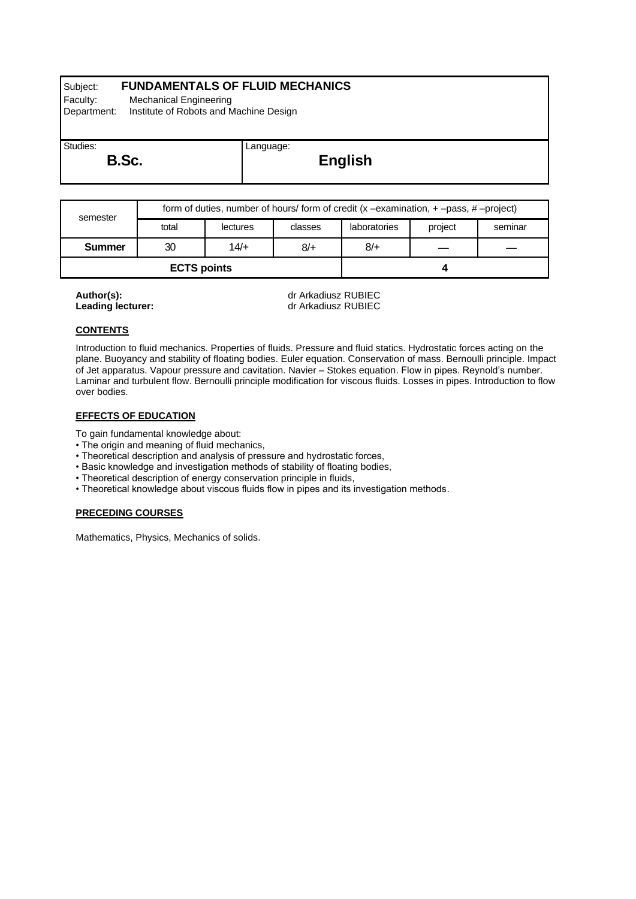# Subject: **FUNDAMENTALS OF FLUID MECHANICS**

Faculty: Mechanical Engineering

Department: Institute of Robots and Machine Design

Studies: **B.Sc.**

# **English**

| semester      |                    | form of duties, number of hours/form of credit $(x - e^x)$ –examination, $x + -p$ ass, $x + p$ –project) |         |              |         |         |
|---------------|--------------------|----------------------------------------------------------------------------------------------------------|---------|--------------|---------|---------|
|               | total              | lectures                                                                                                 | classes | laboratories | project | seminar |
| <b>Summer</b> | 30                 | 14/                                                                                                      | 8/      | $8/+$        |         |         |
|               | <b>ECTS points</b> |                                                                                                          |         |              |         |         |

Language:

**Leading** lecturer:

**Author(s):** dr Arkadiusz RUBIEC

## **CONTENTS**

Introduction to fluid mechanics. Properties of fluids. Pressure and fluid statics. Hydrostatic forces acting on the plane. Buoyancy and stability of floating bodies. Euler equation. Conservation of mass. Bernoulli principle. Impact of Jet apparatus. Vapour pressure and cavitation. Navier – Stokes equation. Flow in pipes. Reynold's number. Laminar and turbulent flow. Bernoulli principle modification for viscous fluids. Losses in pipes. Introduction to flow over bodies.

# **EFFECTS OF EDUCATION**

To gain fundamental knowledge about:

- The origin and meaning of fluid mechanics,
- Theoretical description and analysis of pressure and hydrostatic forces,
- Basic knowledge and investigation methods of stability of floating bodies,
- Theoretical description of energy conservation principle in fluids,
- Theoretical knowledge about viscous fluids flow in pipes and its investigation methods.

## **PRECEDING COURSES**

Mathematics, Physics, Mechanics of solids.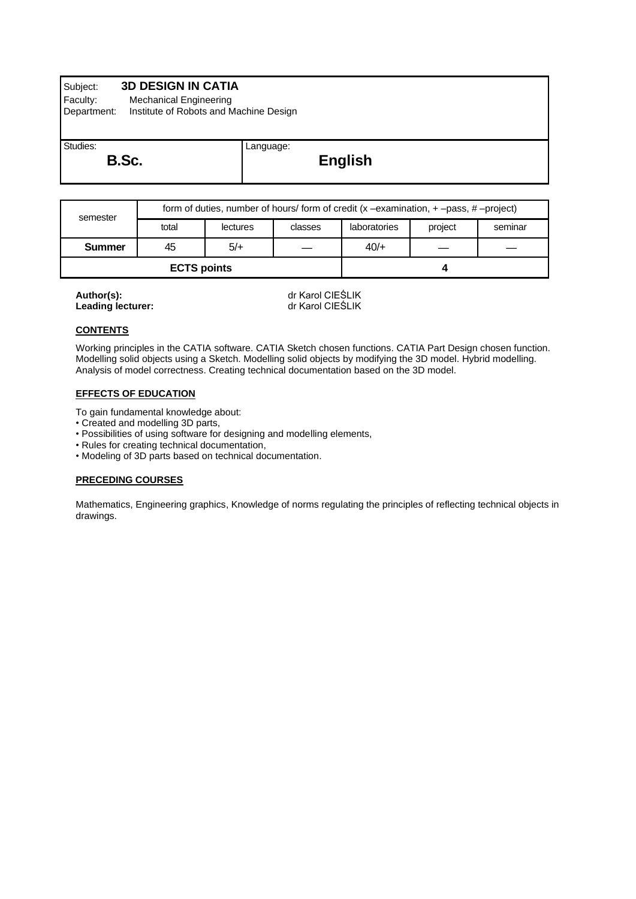# Subject: **3D DESIGN IN CATIA**

Faculty: Mechanical Engineering<br>Department: Institute of Robots and M

Institute of Robots and Machine Design

Studies: **B.Sc.**

# **English**

| semester      |                    | form of duties, number of hours/form of credit $(x - e^x)$ –examination, $x + -p$ ass, $x + p$ –project) |         |              |         |         |
|---------------|--------------------|----------------------------------------------------------------------------------------------------------|---------|--------------|---------|---------|
|               | total              | lectures                                                                                                 | classes | laboratories | project | seminar |
| <b>Summer</b> | 45                 | $5/+$                                                                                                    |         | 40/          |         |         |
|               | <b>ECTS points</b> |                                                                                                          |         |              |         |         |

Language:

**Leading** lecturer:

**Author(s):** dr Karol CIEŚLIK

# **CONTENTS**

Working principles in the CATIA software. CATIA Sketch chosen functions. CATIA Part Design chosen function. Modelling solid objects using a Sketch. Modelling solid objects by modifying the 3D model. Hybrid modelling. Analysis of model correctness. Creating technical documentation based on the 3D model.

# **EFFECTS OF EDUCATION**

To gain fundamental knowledge about:

- Created and modelling 3D parts,
- Possibilities of using software for designing and modelling elements,
- Rules for creating technical documentation,
- Modeling of 3D parts based on technical documentation.

## **PRECEDING COURSES**

Mathematics, Engineering graphics, Knowledge of norms regulating the principles of reflecting technical objects in drawings.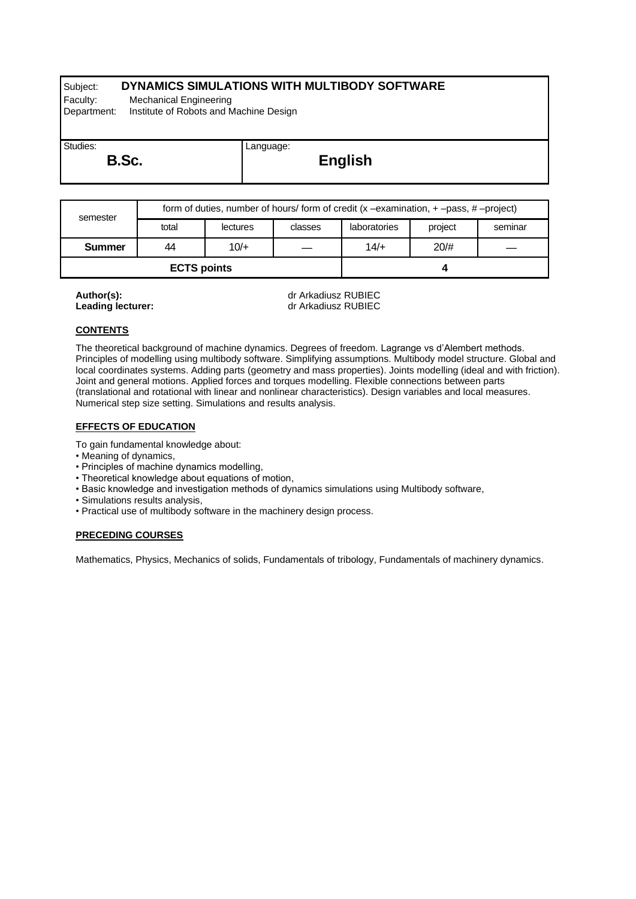# Subject: **DYNAMICS SIMULATIONS WITH MULTIBODY SOFTWARE**

Language:

Faculty: Mechanical Engineering

Department: Institute of Robots and Machine Design

Studies: **B.Sc.**

**English**

| semester      | form of duties, number of hours/form of credit $(x - e^x)$ –examination, $x + e^x$ –pass, $x + e^x$ –project) |          |         |              |         |         |  |  |
|---------------|---------------------------------------------------------------------------------------------------------------|----------|---------|--------------|---------|---------|--|--|
|               | total                                                                                                         | lectures | classes | laboratories | project | seminar |  |  |
| <b>Summer</b> | 44                                                                                                            | $10/+$   |         | 14/          | 20/H    |         |  |  |
|               | <b>ECTS points</b>                                                                                            |          |         |              |         |         |  |  |

**Leading** lecturer:

**Author(s):** dr Arkadiusz RUBIEC

## **CONTENTS**

The theoretical background of machine dynamics. Degrees of freedom. Lagrange vs d'Alembert methods. Principles of modelling using multibody software. Simplifying assumptions. Multibody model structure. Global and local coordinates systems. Adding parts (geometry and mass properties). Joints modelling (ideal and with friction). Joint and general motions. Applied forces and torques modelling. Flexible connections between parts (translational and rotational with linear and nonlinear characteristics). Design variables and local measures. Numerical step size setting. Simulations and results analysis.

# **EFFECTS OF EDUCATION**

To gain fundamental knowledge about:

- Meaning of dynamics,
- Principles of machine dynamics modelling,
- Theoretical knowledge about equations of motion,
- Basic knowledge and investigation methods of dynamics simulations using Multibody software,
- Simulations results analysis,
- Practical use of multibody software in the machinery design process.

# **PRECEDING COURSES**

Mathematics, Physics, Mechanics of solids, Fundamentals of tribology, Fundamentals of machinery dynamics.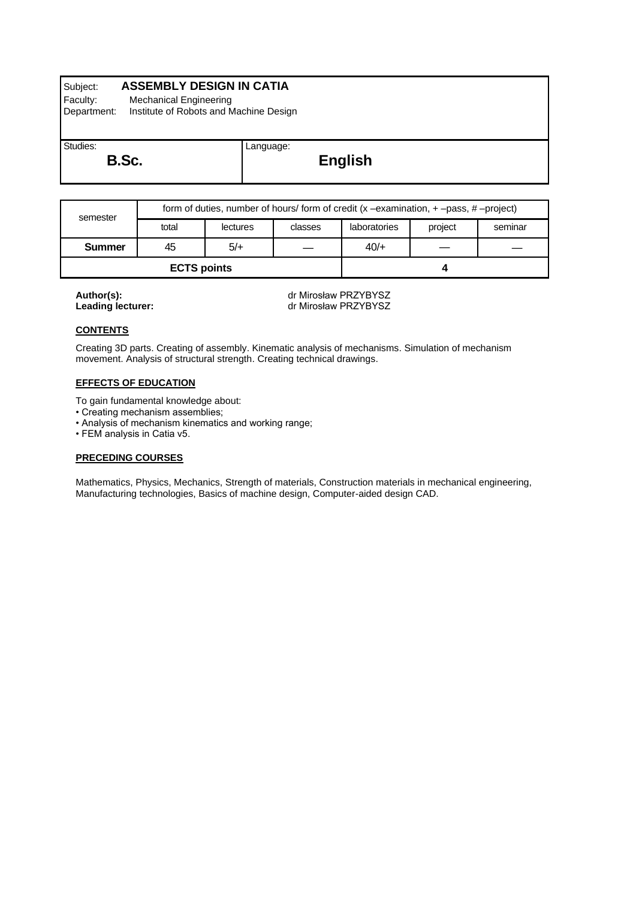# Subject: **ASSEMBLY DESIGN IN CATIA**

Faculty: Mechanical Engineering<br>Department: Institute of Robots and M

Institute of Robots and Machine Design

Studies: **B.Sc.**

# **English**

| semester           | form of duties, number of hours/ form of credit $(x - e^x)$ – examination, $x + -p$ ass, $x + p$ – project) |          |         |              |         |         |  |
|--------------------|-------------------------------------------------------------------------------------------------------------|----------|---------|--------------|---------|---------|--|
|                    | total                                                                                                       | lectures | classes | laboratories | project | seminar |  |
| <b>Summer</b>      | 45                                                                                                          | $5/+$    |         | $40/$ +      |         |         |  |
| <b>ECTS points</b> |                                                                                                             |          |         |              |         |         |  |

Language:

Author(s):<br>
Leading lecturer:<br>
Leading lecturer:<br>
are Mirosław PRZYBYSZ **Leading lecturer:** dr Mirosław PRZYBYSZ

## **CONTENTS**

Creating 3D parts. Creating of assembly. Kinematic analysis of mechanisms. Simulation of mechanism movement. Analysis of structural strength. Creating technical drawings.

# **EFFECTS OF EDUCATION**

To gain fundamental knowledge about:

- Creating mechanism assemblies;
- Analysis of mechanism kinematics and working range;
- FEM analysis in Catia v5.

## **PRECEDING COURSES**

Mathematics, Physics, Mechanics, Strength of materials, Construction materials in mechanical engineering, Manufacturing technologies, Basics of machine design, Computer-aided design CAD.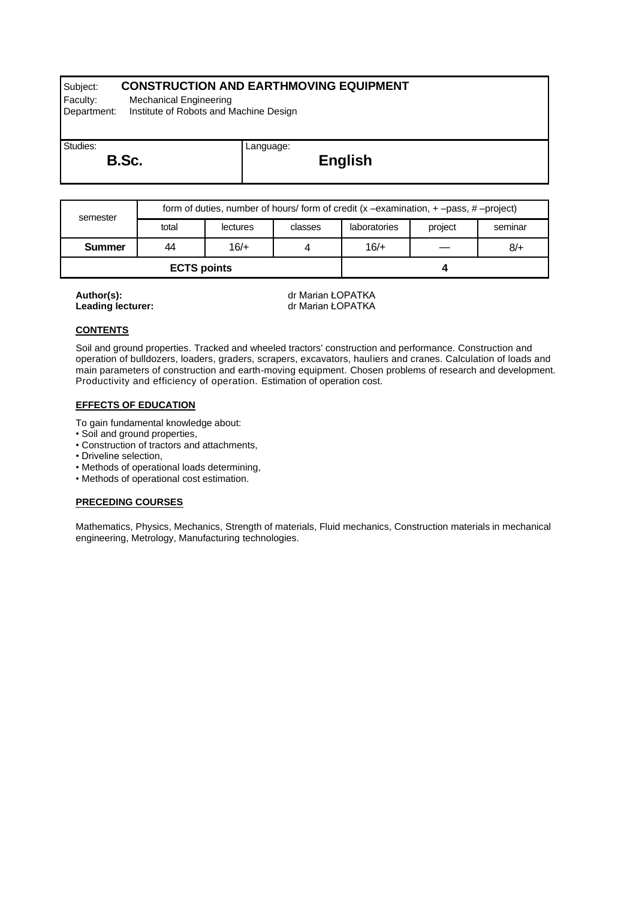# Subject: **CONSTRUCTION AND EARTHMOVING EQUIPMENT**

Language:

Faculty: Mechanical Engineering

Department: Institute of Robots and Machine Design

Studies: **B.Sc.**

**English**

| semester           | form of duties, number of hours/form of credit $(x - e^x)$ –examination, $x + -p$ ass, $x + p$ –project) |          |         |              |         |         |  |
|--------------------|----------------------------------------------------------------------------------------------------------|----------|---------|--------------|---------|---------|--|
|                    | total                                                                                                    | lectures | classes | laboratories | project | seminar |  |
| <b>Summer</b>      | 44                                                                                                       | $16/+$   |         | $16/+$       |         | $8/$ +  |  |
| <b>ECTS points</b> |                                                                                                          |          |         |              |         |         |  |

**Author(s):**<br> **Leading lecturer:**<br> **Leading lecturer:**<br> **Leading lecturer:**<br> **Author(s) Leading lecturer:** dr Marian ŁOPATKA

## **CONTENTS**

Soil and ground properties. Tracked and wheeled tractors' construction and performance. Construction and operation of bulldozers, loaders, graders, scrapers, excavators, hauliers and cranes. Calculation of loads and main parameters of construction and earth-moving equipment. Chosen problems of research and development. Productivity and efficiency of operation. Estimation of operation cost.

# **EFFECTS OF EDUCATION**

To gain fundamental knowledge about:

- Soil and ground properties,
- Construction of tractors and attachments,
- Driveline selection,
- Methods of operational loads determining,
- Methods of operational cost estimation.

## **PRECEDING COURSES**

Mathematics, Physics, Mechanics, Strength of materials, Fluid mechanics, Construction materials in mechanical engineering, Metrology, Manufacturing technologies.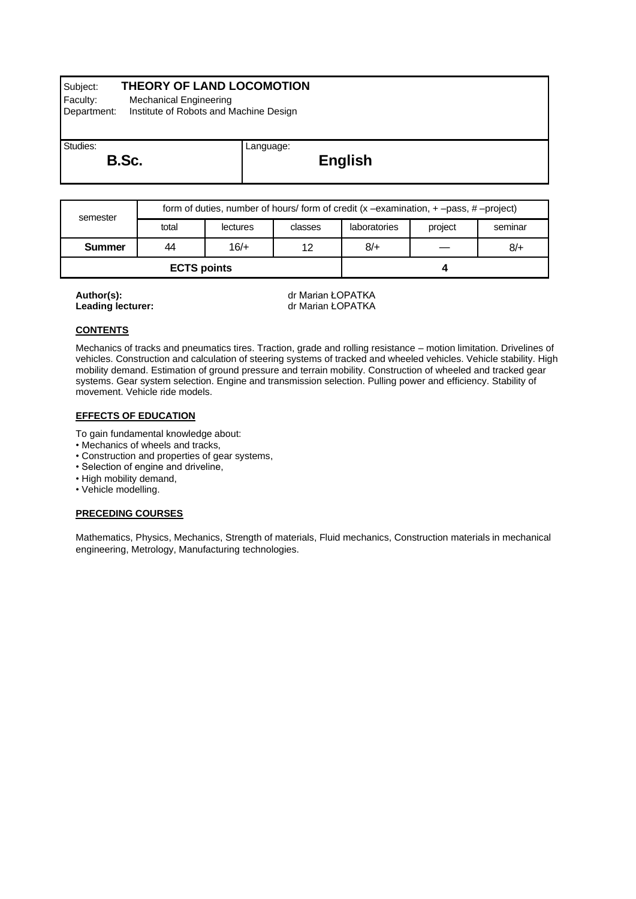# Subject: **THEORY OF LAND LOCOMOTION**

Faculty: Mechanical Engineering

Department: Institute of Robots and Machine Design

Studies: **B.Sc.**

# **English**

| semester      | form of duties, number of hours/form of credit $(x - e^x)$ –examination, $x + -p$ ass, $x + p$ –project) |          |         |              |         |         |  |
|---------------|----------------------------------------------------------------------------------------------------------|----------|---------|--------------|---------|---------|--|
|               | total                                                                                                    | lectures | classes | laboratories | project | seminar |  |
| <b>Summer</b> | 44                                                                                                       | $16/+$   | 12      | 8/           |         | 8/      |  |
|               | <b>ECTS points</b>                                                                                       |          |         |              |         |         |  |

Language:

**Author(s):**<br> **Leading lecturer:**<br> **Leading lecturer:**<br> **Leading lecturer:**<br> **Author(s) Leading lecturer:** dr Marian ŁOPATKA

## **CONTENTS**

Mechanics of tracks and pneumatics tires. Traction, grade and rolling resistance – motion limitation. Drivelines of vehicles. Construction and calculation of steering systems of tracked and wheeled vehicles. Vehicle stability. High mobility demand. Estimation of ground pressure and terrain mobility. Construction of wheeled and tracked gear systems. Gear system selection. Engine and transmission selection. Pulling power and efficiency. Stability of movement. Vehicle ride models.

# **EFFECTS OF EDUCATION**

To gain fundamental knowledge about:

- Mechanics of wheels and tracks,
- Construction and properties of gear systems,
- Selection of engine and driveline,
- High mobility demand,
- Vehicle modelling.

# **PRECEDING COURSES**

Mathematics, Physics, Mechanics, Strength of materials, Fluid mechanics, Construction materials in mechanical engineering, Metrology, Manufacturing technologies.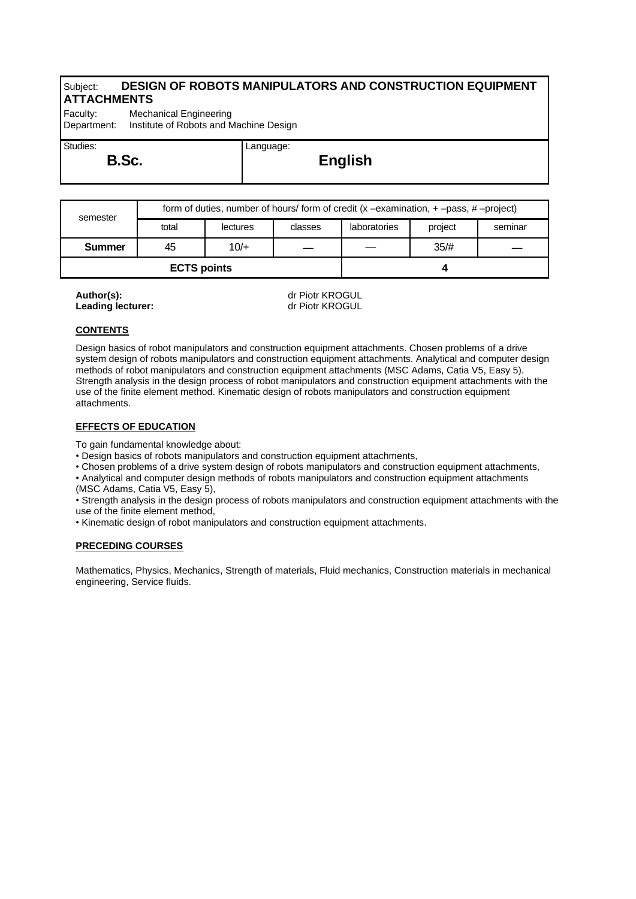# Subject: **DESIGN OF ROBOTS MANIPULATORS AND CONSTRUCTION EQUIPMENT ATTACHMENTS**

Language:

Faculty: Mechanical Engineering Department: Institute of Robots and Machine Design

Studies: **B.Sc.**

**English**

| semester           | form of duties, number of hours/form of credit $(x - e^x)$ –examination, $x + -p$ ass, $x + p$ –project) |          |         |              |         |         |  |
|--------------------|----------------------------------------------------------------------------------------------------------|----------|---------|--------------|---------|---------|--|
|                    | total                                                                                                    | lectures | classes | laboratories | project | seminar |  |
| <b>Summer</b>      | 45                                                                                                       | $10/+$   |         |              | 35/#    |         |  |
| <b>ECTS points</b> |                                                                                                          |          |         |              |         |         |  |

**Leading** lecturer:

**Author(s):**<br> **Author(s):**<br> **Leading lecturer:**<br> **Comparent State of Piotr KROGUL** 

## **CONTENTS**

Design basics of robot manipulators and construction equipment attachments. Chosen problems of a drive system design of robots manipulators and construction equipment attachments. Analytical and computer design methods of robot manipulators and construction equipment attachments (MSC Adams, Catia V5, Easy 5). Strength analysis in the design process of robot manipulators and construction equipment attachments with the use of the finite element method. Kinematic design of robots manipulators and construction equipment attachments.

# **EFFECTS OF EDUCATION**

To gain fundamental knowledge about:

• Design basics of robots manipulators and construction equipment attachments,

• Chosen problems of a drive system design of robots manipulators and construction equipment attachments,

• Analytical and computer design methods of robots manipulators and construction equipment attachments

(MSC Adams, Catia V5, Easy 5),

• Strength analysis in the design process of robots manipulators and construction equipment attachments with the use of the finite element method,

• Kinematic design of robot manipulators and construction equipment attachments.

# **PRECEDING COURSES**

Mathematics, Physics, Mechanics, Strength of materials, Fluid mechanics, Construction materials in mechanical engineering, Service fluids.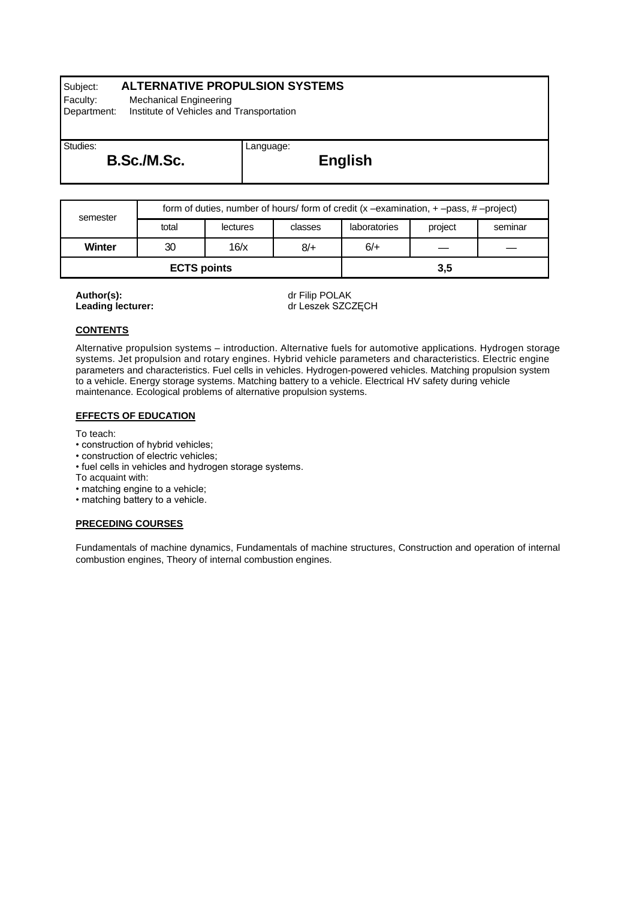# Subject: **ALTERNATIVE PROPULSION SYSTEMS**

Faculty: Mechanical Engineering

Department: Institute of Vehicles and Transportation

Studies: **B.Sc./M.Sc.**

**English**

| semester | form of duties, number of hours/form of credit $(x - e^x)$ –examination, $x + -p$ ass, $x + p$ –project) |          |         |              |         |         |  |  |
|----------|----------------------------------------------------------------------------------------------------------|----------|---------|--------------|---------|---------|--|--|
|          | total                                                                                                    | lectures | classes | laboratories | project | seminar |  |  |
| Winter   | 30                                                                                                       | 16/x     | $8/$ +  | $6/+$        |         |         |  |  |
|          | <b>ECTS points</b>                                                                                       |          |         | 3,5          |         |         |  |  |

Language:

**Author(s):** dr Filip POLAK **Leading lecturer:** dr Leszek SZCZĘCH

## **CONTENTS**

Alternative propulsion systems – introduction. Alternative fuels for automotive applications. Hydrogen storage systems. Jet propulsion and rotary engines. Hybrid vehicle parameters and characteristics. Electric engine parameters and characteristics. Fuel cells in vehicles. Hydrogen-powered vehicles. Matching propulsion system to a vehicle. Energy storage systems. Matching battery to a vehicle. Electrical HV safety during vehicle maintenance. Ecological problems of alternative propulsion systems.

## **EFFECTS OF EDUCATION**

To teach:

- construction of hybrid vehicles;
- construction of electric vehicles;
- fuel cells in vehicles and hydrogen storage systems.
- To acquaint with:
- matching engine to a vehicle;
- matching battery to a vehicle.

## **PRECEDING COURSES**

Fundamentals of machine dynamics, Fundamentals of machine structures, Construction and operation of internal combustion engines, Theory of internal combustion engines.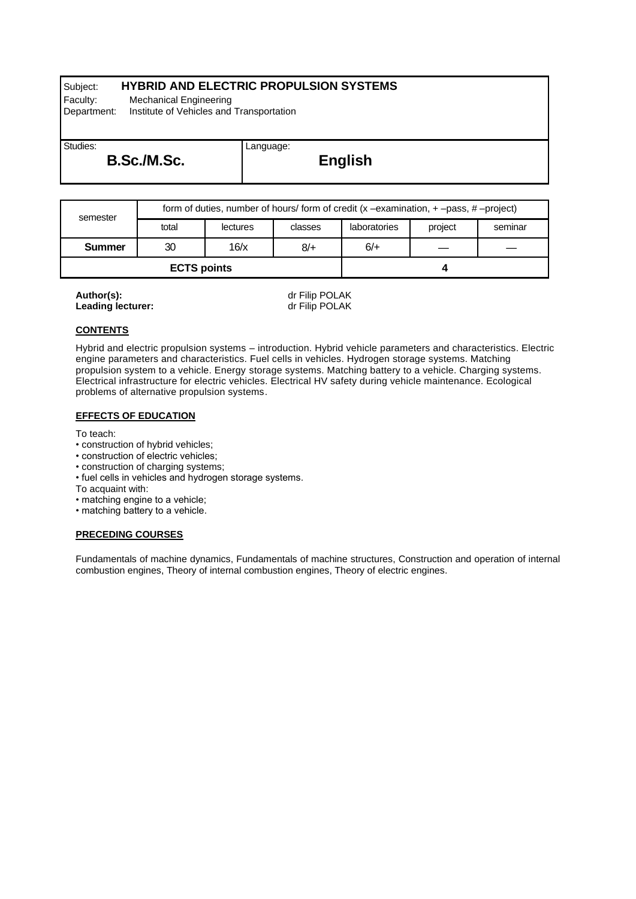# Subject: **HYBRID AND ELECTRIC PROPULSION SYSTEMS**

Language:

Faculty: Mechanical Engineering

Department: Institute of Vehicles and Transportation

Studies: **B.Sc./M.Sc.**

**English**

| semester           | form of duties, number of hours/form of credit $(x - e^x)$ –examination, $x + -p$ ass, $x + p$ –project) |          |         |              |         |         |  |
|--------------------|----------------------------------------------------------------------------------------------------------|----------|---------|--------------|---------|---------|--|
|                    | total                                                                                                    | lectures | classes | laboratories | project | seminar |  |
| <b>Summer</b>      | 30                                                                                                       | 16/x     | 8/      | $6/+$        |         |         |  |
| <b>ECTS points</b> |                                                                                                          |          |         |              |         |         |  |

**Leading lecturer:** 

**Author(s):**<br> **Leading lecturer:**<br> **Leading lecturer:**<br> **Author(s)** dr Filip POLAK

## **CONTENTS**

Hybrid and electric propulsion systems – introduction. Hybrid vehicle parameters and characteristics. Electric engine parameters and characteristics. Fuel cells in vehicles. Hydrogen storage systems. Matching propulsion system to a vehicle. Energy storage systems. Matching battery to a vehicle. Charging systems. Electrical infrastructure for electric vehicles. Electrical HV safety during vehicle maintenance. Ecological problems of alternative propulsion systems.

# **EFFECTS OF EDUCATION**

To teach:

- construction of hybrid vehicles;
- construction of electric vehicles;
- construction of charging systems;
- fuel cells in vehicles and hydrogen storage systems.
- To acquaint with:
- matching engine to a vehicle;
- matching battery to a vehicle.

## **PRECEDING COURSES**

Fundamentals of machine dynamics, Fundamentals of machine structures, Construction and operation of internal combustion engines, Theory of internal combustion engines, Theory of electric engines.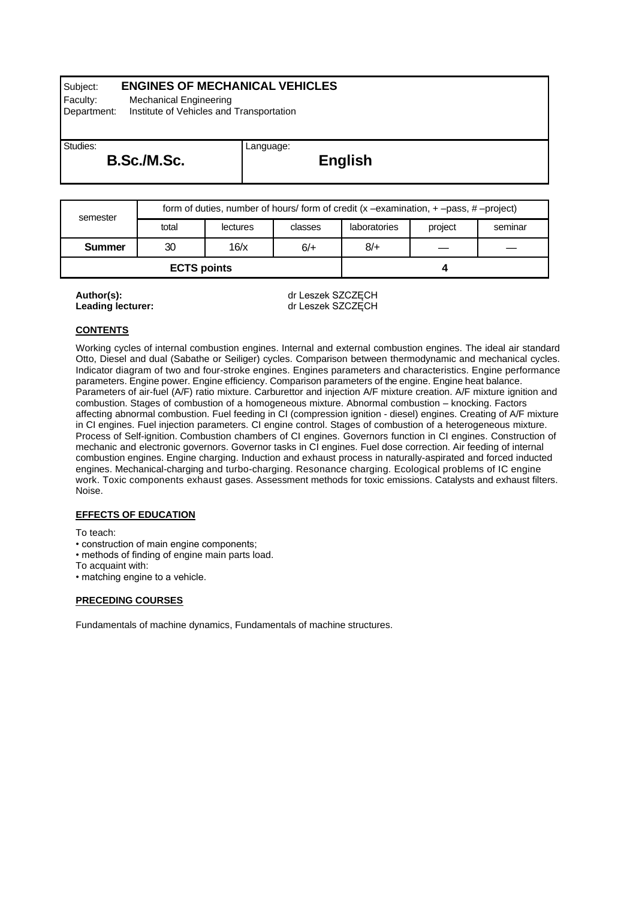# Subject: **ENGINES OF MECHANICAL VEHICLES**

Faculty: Mechanical Engineering

Department: Institute of Vehicles and Transportation

Studies: **B.Sc./M.Sc.**

**English**

| semester           | form of duties, number of hours/form of credit $(x - e^x)$ –examination, $x + -p$ ass, $x + p$ –project) |          |         |              |         |         |  |  |
|--------------------|----------------------------------------------------------------------------------------------------------|----------|---------|--------------|---------|---------|--|--|
|                    | total                                                                                                    | lectures | classes | laboratories | project | seminar |  |  |
| <b>Summer</b>      | 30                                                                                                       | 16/x     | $6/+$   | 8/           |         |         |  |  |
| <b>ECTS points</b> |                                                                                                          |          |         |              |         |         |  |  |

Language:

**Author(s):** dr Leszek SZCZĘCH **Leading lecturer:** dr Leszek SZCZĘCH

# **CONTENTS**

Working cycles of internal combustion engines. Internal and external combustion engines. The ideal air standard Otto, Diesel and dual (Sabathe or Seiliger) cycles. Comparison between thermodynamic and mechanical cycles. Indicator diagram of two and four-stroke engines. Engines parameters and characteristics. Engine performance parameters. Engine power. Engine efficiency. Comparison parameters of the engine. Engine heat balance. Parameters of air-fuel (A/F) ratio mixture. Carburettor and injection A/F mixture creation. A/F mixture ignition and combustion. Stages of combustion of a homogeneous mixture. Abnormal combustion – knocking. Factors affecting abnormal combustion. Fuel feeding in CI (compression ignition - diesel) engines. Creating of A/F mixture in CI engines. Fuel injection parameters. CI engine control. Stages of combustion of a heterogeneous mixture. Process of Self-ignition. Combustion chambers of CI engines. Governors function in CI engines. Construction of mechanic and electronic governors. Governor tasks in CI engines. Fuel dose correction. Air feeding of internal combustion engines. Engine charging. Induction and exhaust process in naturally-aspirated and forced inducted engines. Mechanical-charging and turbo-charging. Resonance charging. Ecological problems of IC engine work. Toxic components exhaust gases. Assessment methods for toxic emissions. Catalysts and exhaust filters. Noise.

## **EFFECTS OF EDUCATION**

To teach:

- construction of main engine components;
- methods of finding of engine main parts load.

To acquaint with:

• matching engine to a vehicle.

## **PRECEDING COURSES**

Fundamentals of machine dynamics, Fundamentals of machine structures.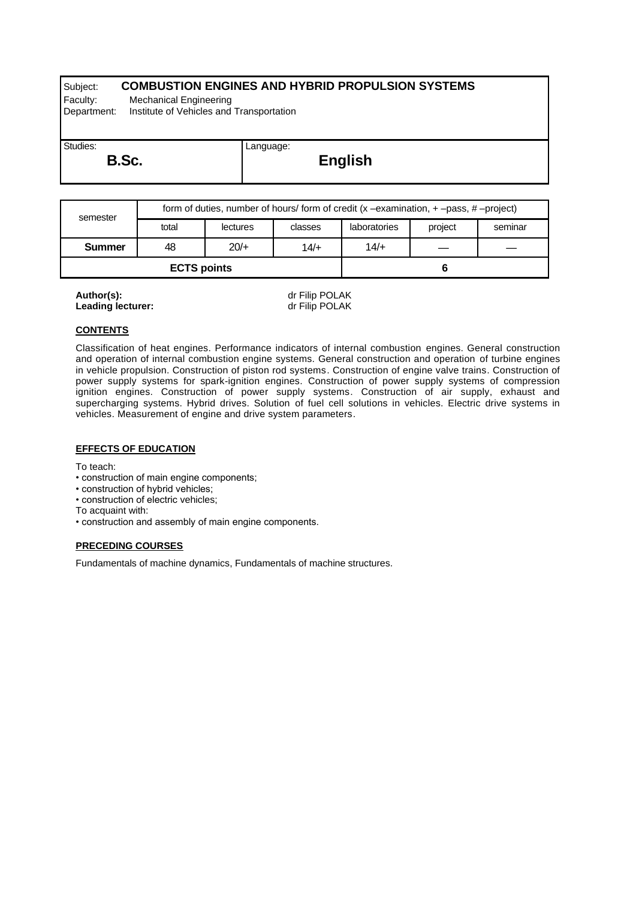# Subject: **COMBUSTION ENGINES AND HYBRID PROPULSION SYSTEMS**

Language:

Faculty: Mechanical Engineering

Department: Institute of Vehicles and Transportation

Studies: **B.Sc.**

**English**

| semester           | form of duties, number of hours/form of credit $(x - e^x)$ –examination, $x + e^x$ –pass, $x + e^x$ –project) |          |         |              |         |         |  |
|--------------------|---------------------------------------------------------------------------------------------------------------|----------|---------|--------------|---------|---------|--|
|                    | total                                                                                                         | lectures | classes | laboratories | project | seminar |  |
| <b>Summer</b>      | 48                                                                                                            | $20/+$   | $14/+$  | 14/          |         |         |  |
| <b>ECTS points</b> |                                                                                                               |          |         |              |         |         |  |

**Leading lecturer:** 

**Author(s):**<br> **Leading lecturer:**<br> **Leading lecturer:**<br> **COLARED ASSESS** dr Filip POLAK

## **CONTENTS**

Classification of heat engines. Performance indicators of internal combustion engines. General construction and operation of internal combustion engine systems. General construction and operation of turbine engines in vehicle propulsion. Construction of piston rod systems. Construction of engine valve trains. Construction of power supply systems for spark-ignition engines. Construction of power supply systems of compression ignition engines. Construction of power supply systems. Construction of air supply, exhaust and supercharging systems. Hybrid drives. Solution of fuel cell solutions in vehicles. Electric drive systems in vehicles. Measurement of engine and drive system parameters.

# **EFFECTS OF EDUCATION**

To teach:

- construction of main engine components;
- construction of hybrid vehicles;
- construction of electric vehicles;
- To acquaint with:
- construction and assembly of main engine components.

## **PRECEDING COURSES**

Fundamentals of machine dynamics, Fundamentals of machine structures.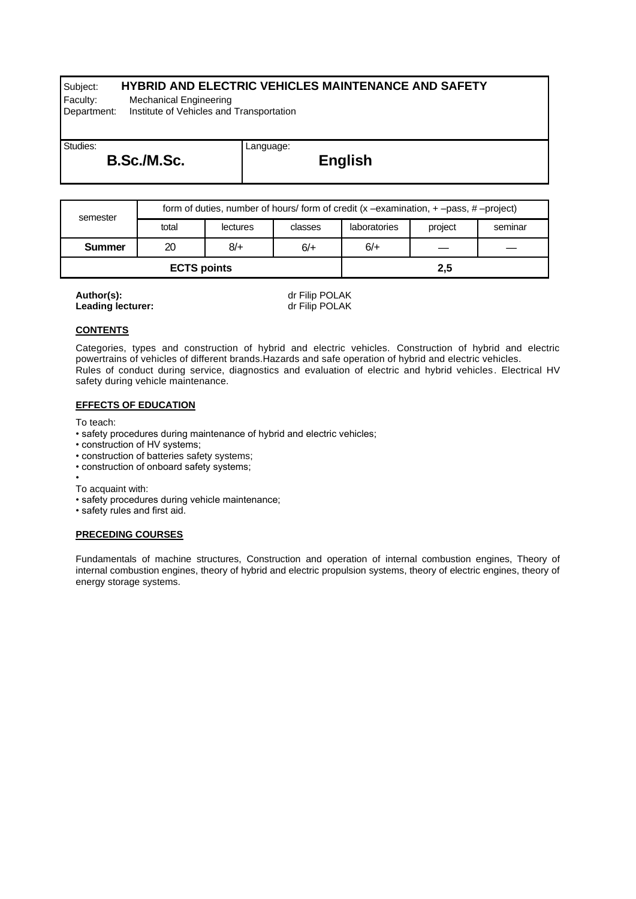# Subject: **HYBRID AND ELECTRIC VEHICLES MAINTENANCE AND SAFETY**

Language:

Faculty: Mechanical Engineering

Department: Institute of Vehicles and Transportation

Studies: **B.Sc./M.Sc.**

**English**

| semester           | form of duties, number of hours/form of credit $(x - e^x)$ –examination, $x + -p$ ass, $x + p$ –project) |          |         |              |         |         |  |
|--------------------|----------------------------------------------------------------------------------------------------------|----------|---------|--------------|---------|---------|--|
|                    | total                                                                                                    | lectures | classes | laboratories | project | seminar |  |
| <b>Summer</b>      | 20                                                                                                       | $8/+$    | $6/+$   | $6/+$        |         |         |  |
| <b>ECTS points</b> |                                                                                                          |          |         |              | 2,5     |         |  |

**Leading lecturer:** 

**Author(s):**<br> **Leading lecturer:**<br> **Leading lecturer:**<br> **Author(s)** dr Filip POLAK

## **CONTENTS**

Categories, types and construction of hybrid and electric vehicles. Construction of hybrid and electric powertrains of vehicles of different brands.Hazards and safe operation of hybrid and electric vehicles. Rules of conduct during service, diagnostics and evaluation of electric and hybrid vehicles . Electrical HV safety during vehicle maintenance.

## **EFFECTS OF EDUCATION**

To teach:

- safety procedures during maintenance of hybrid and electric vehicles;
- construction of HV systems;
- construction of batteries safety systems;
- construction of onboard safety systems;
- •

To acquaint with:

- safety procedures during vehicle maintenance;
- safety rules and first aid.

## **PRECEDING COURSES**

Fundamentals of machine structures, Construction and operation of internal combustion engines, Theory of internal combustion engines, theory of hybrid and electric propulsion systems, theory of electric engines, theory of energy storage systems.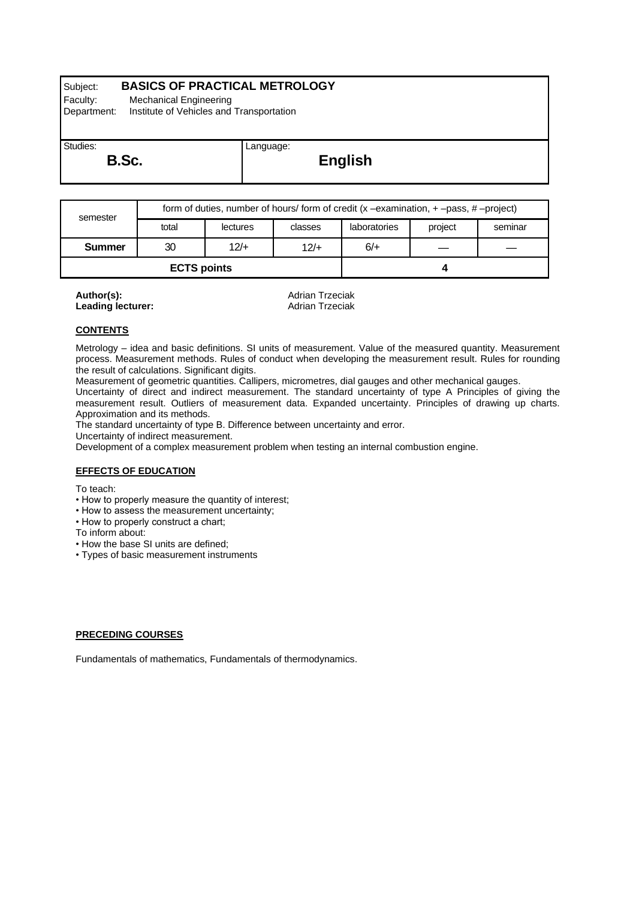# Subject: **BASICS OF PRACTICAL METROLOGY**

Faculty: Mechanical Engineering

Department: Institute of Vehicles and Transportation

Studies: **B.Sc.**

# **English**

| semester           | form of duties, number of hours/ form of credit $(x -\text{examination}, +\text{–pass}, #-\text{project})$ |          |         |              |         |         |  |
|--------------------|------------------------------------------------------------------------------------------------------------|----------|---------|--------------|---------|---------|--|
|                    | total                                                                                                      | lectures | classes | laboratories | project | seminar |  |
| <b>Summer</b>      | 30                                                                                                         | $12/+$   | $12/+$  | $6/+$        |         |         |  |
| <b>ECTS points</b> |                                                                                                            |          |         |              |         |         |  |

Language:

**Leading** lecturer:

**Author(s): And Adrian Transformational Adrian Transformation Adrian Transformation Adrian Transformation Adrian Transformation Adrian Transformation Adrian Transformation Adrian Transformation Adrian Transformation Adri** 

## **CONTENTS**

Metrology – idea and basic definitions. SI units of measurement. Value of the measured quantity. Measurement process. Measurement methods. Rules of conduct when developing the measurement result. Rules for rounding the result of calculations. Significant digits.

Measurement of geometric quantities. Callipers, micrometres, dial gauges and other mechanical gauges.

Uncertainty of direct and indirect measurement. The standard uncertainty of type A Principles of giving the measurement result. Outliers of measurement data. Expanded uncertainty. Principles of drawing up charts. Approximation and its methods.

The standard uncertainty of type B. Difference between uncertainty and error.

Uncertainty of indirect measurement.

Development of a complex measurement problem when testing an internal combustion engine.

# **EFFECTS OF EDUCATION**

To teach:

- How to properly measure the quantity of interest;
- How to assess the measurement uncertainty;
- How to properly construct a chart;
- To inform about:
- How the base SI units are defined;
- Types of basic measurement instruments

## **PRECEDING COURSES**

Fundamentals of mathematics, Fundamentals of thermodynamics.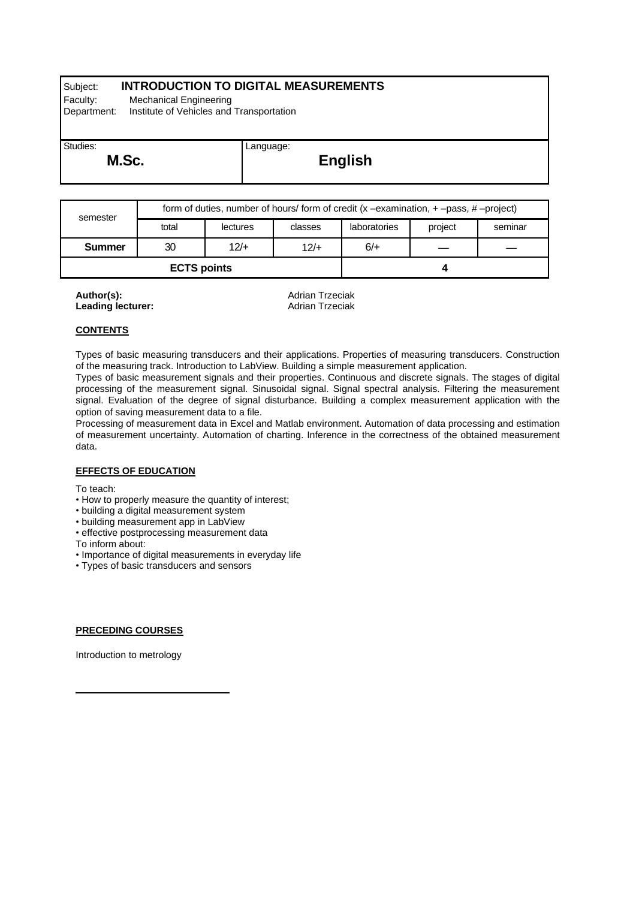# Subject: **INTRODUCTION TO DIGITAL MEASUREMENTS**

Language:

Faculty: Mechanical Engineering

Department: Institute of Vehicles and Transportation

Studies: **M.Sc.**

# **English**

| semester           | form of duties, number of hours/form of credit $(x - e^x)$ –examination, $x + -p$ ass, $x + p$ –project) |          |         |              |         |         |  |
|--------------------|----------------------------------------------------------------------------------------------------------|----------|---------|--------------|---------|---------|--|
|                    | total                                                                                                    | lectures | classes | laboratories | project | seminar |  |
| <b>Summer</b>      | 30                                                                                                       | $12/+$   | $12/+$  | $6/+$        |         |         |  |
| <b>ECTS points</b> |                                                                                                          |          |         |              |         |         |  |

**Leading** lecturer:

**Author(s): Author(s): Adrian Transform Adrian Transform Adrian Transform Adrian Transform Adrian Transform Adrian Transform Adrian Transform Adrian Transform Adrian Transform Adrian Transform Adrian Transform Adrian T** 

# **CONTENTS**

Types of basic measuring transducers and their applications. Properties of measuring transducers. Construction of the measuring track. Introduction to LabView. Building a simple measurement application.

Types of basic measurement signals and their properties. Continuous and discrete signals. The stages of digital processing of the measurement signal. Sinusoidal signal. Signal spectral analysis. Filtering the measurement signal. Evaluation of the degree of signal disturbance. Building a complex measurement application with the option of saving measurement data to a file.

Processing of measurement data in Excel and Matlab environment. Automation of data processing and estimation of measurement uncertainty. Automation of charting. Inference in the correctness of the obtained measurement data.

## **EFFECTS OF EDUCATION**

To teach:

- How to properly measure the quantity of interest;
- building a digital measurement system
- building measurement app in LabView
- effective postprocessing measurement data

To inform about:

- Importance of digital measurements in everyday life
- Types of basic transducers and sensors

## **PRECEDING COURSES**

Introduction to metrology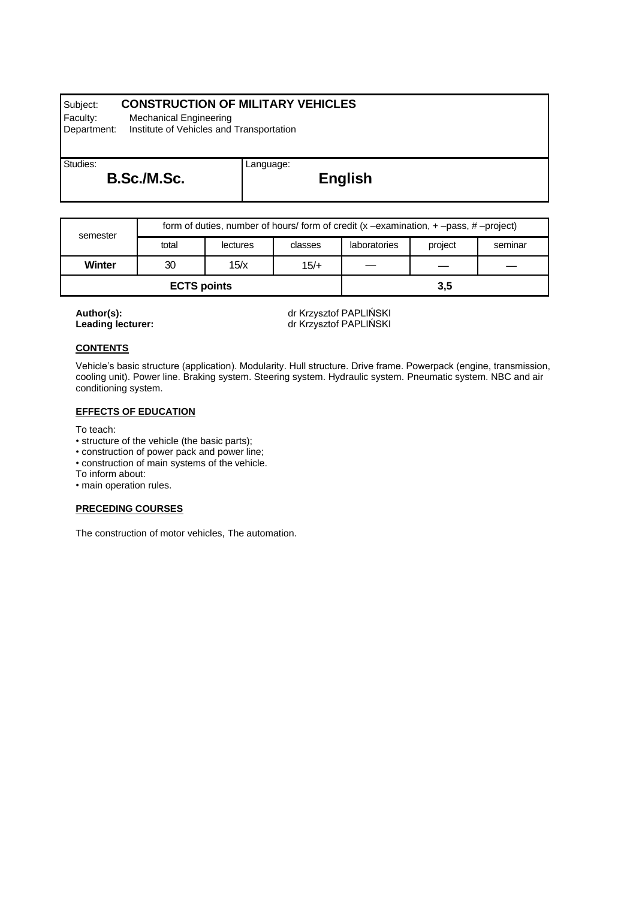# Subject: **CONSTRUCTION OF MILITARY VEHICLES**

Faculty: Mechanical Engineering

Department: Institute of Vehicles and Transportation

Studies:

**B.Sc./M.Sc.**

**English**

| semester           | form of duties, number of hours/ form of credit $(x -\text{examination}, +\text{–pass}, #-\text{project})$ |          |         |              |         |         |  |
|--------------------|------------------------------------------------------------------------------------------------------------|----------|---------|--------------|---------|---------|--|
|                    | total                                                                                                      | lectures | classes | laboratories | project | seminar |  |
| Winter             | 30                                                                                                         | 15/x     | $15/+$  |              |         |         |  |
| <b>ECTS points</b> |                                                                                                            |          |         |              | 3,5     |         |  |

Language:

**Author(s):**<br>
Leading lecturer:<br>
Leading lecturer:<br>  $\frac{d}{dx}$  dr Krzysztof PAPLIŃSKI **Leading lecturer:** dr Krzysztof PAPLIŃSKI

# **CONTENTS**

Vehicle's basic structure (application). Modularity. Hull structure. Drive frame. Powerpack (engine, transmission, cooling unit). Power line. Braking system. Steering system. Hydraulic system. Pneumatic system. NBC and air conditioning system.

# **EFFECTS OF EDUCATION**

To teach:

- structure of the vehicle (the basic parts);
- construction of power pack and power line;
- construction of main systems of the vehicle.
- To inform about:
- main operation rules.

# **PRECEDING COURSES**

The construction of motor vehicles, The automation.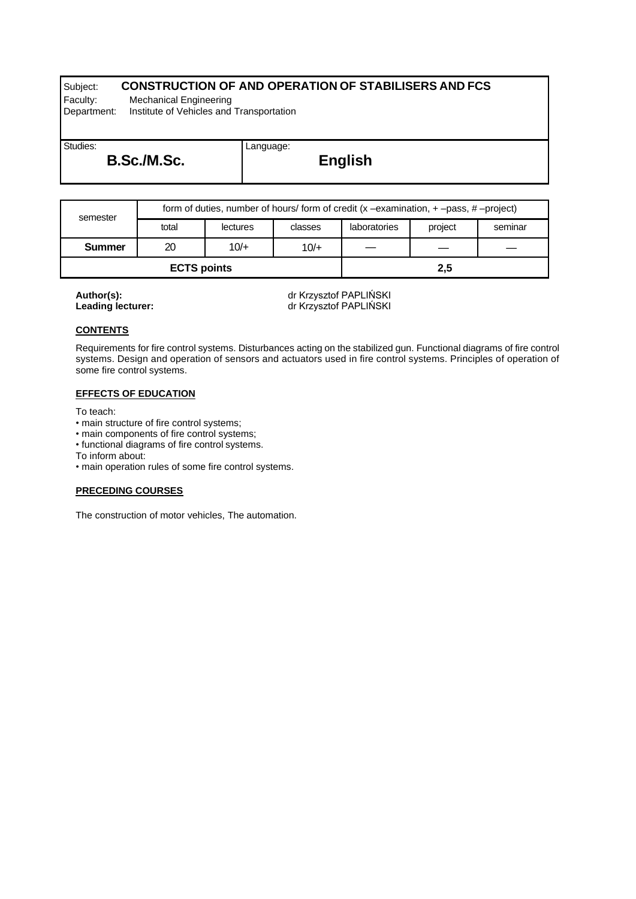# Subject: **CONSTRUCTION OF AND OPERATION OF STABILISERS AND FCS**

Language:

Faculty: Mechanical Engineering<br>Department: Institute of Vehicles and

Institute of Vehicles and Transportation

Studies: **B.Sc./M.Sc.**

**English**

| semester           | form of duties, number of hours/form of credit $(x - e^x)$ –examination, $x + -p$ ass, $x + p$ –project) |          |         |              |         |         |
|--------------------|----------------------------------------------------------------------------------------------------------|----------|---------|--------------|---------|---------|
|                    | total                                                                                                    | lectures | classes | laboratories | project | seminar |
| <b>Summer</b>      | 20                                                                                                       | $10/+$   | $10/+$  |              |         |         |
| <b>ECTS points</b> |                                                                                                          |          |         | 2,5          |         |         |

**Author(s):**<br> **Leading lecturer:**<br>
Leading lecturer:<br>  $\frac{d}{dx}$  dr Krzysztof PAPLIŃSKI **Leading lecturer:** dr Krzysztof PAPLIŃSKI

## **CONTENTS**

Requirements for fire control systems. Disturbances acting on the stabilized gun. Functional diagrams of fire control systems. Design and operation of sensors and actuators used in fire control systems. Principles of operation of some fire control systems.

# **EFFECTS OF EDUCATION**

To teach:

• main structure of fire control systems;

- main components of fire control systems;
- functional diagrams of fire control systems.

To inform about:

• main operation rules of some fire control systems.

## **PRECEDING COURSES**

The construction of motor vehicles, The automation.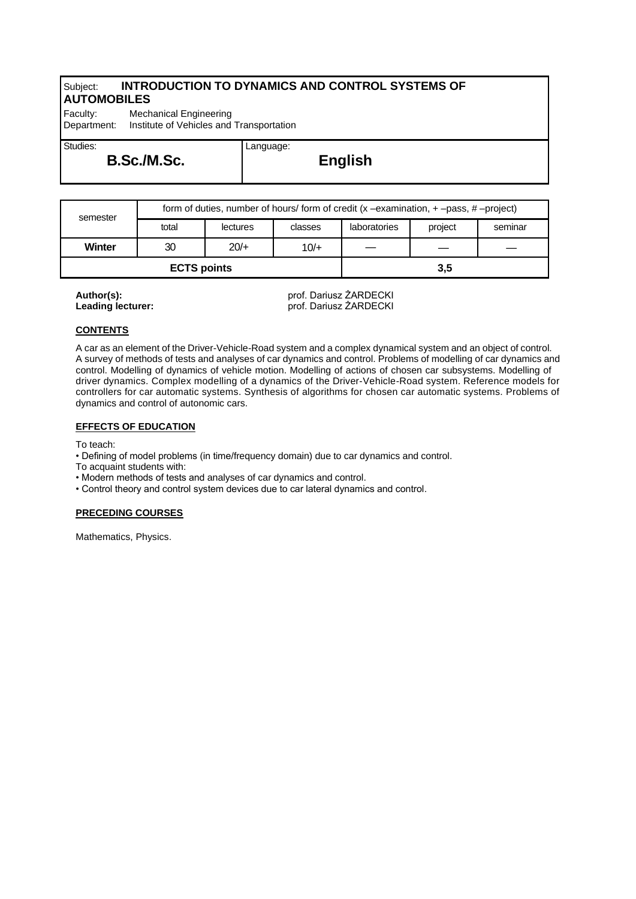# Subject: **INTRODUCTION TO DYNAMICS AND CONTROL SYSTEMS OF AUTOMOBILES**

Language:

Faculty: Mechanical Engineering<br>Department: Institute of Vehicles and Institute of Vehicles and Transportation

Studies:

**B.Sc./M.Sc.**

**English**

| semester           | form of duties, number of hours/form of credit $(x - e^x)$ –examination, $x + -p$ ass, $x + p$ –project) |          |         |              |         |         |
|--------------------|----------------------------------------------------------------------------------------------------------|----------|---------|--------------|---------|---------|
|                    | total                                                                                                    | lectures | classes | laboratories | project | seminar |
| Winter             | 30                                                                                                       | $20/+$   | $10/+$  |              |         |         |
| <b>ECTS points</b> |                                                                                                          |          |         | 3.5          |         |         |

**Author(s):**<br> **Leading lecturer:**<br> **Leading lecturer:**<br> **Prof. Dariusz ŻARDECKI Leading lecturer:** prof. Dariusz ŻARDECKI

# **CONTENTS**

A car as an element of the Driver-Vehicle-Road system and a complex dynamical system and an object of control. A survey of methods of tests and analyses of car dynamics and control. Problems of modelling of car dynamics and control. Modelling of dynamics of vehicle motion. Modelling of actions of chosen car subsystems. Modelling of driver dynamics. Complex modelling of a dynamics of the Driver-Vehicle-Road system. Reference models for controllers for car automatic systems. Synthesis of algorithms for chosen car automatic systems. Problems of dynamics and control of autonomic cars.

# **EFFECTS OF EDUCATION**

To teach:

- Defining of model problems (in time/frequency domain) due to car dynamics and control.
- To acquaint students with:
- Modern methods of tests and analyses of car dynamics and control.
- Control theory and control system devices due to car lateral dynamics and control.

# **PRECEDING COURSES**

Mathematics, Physics.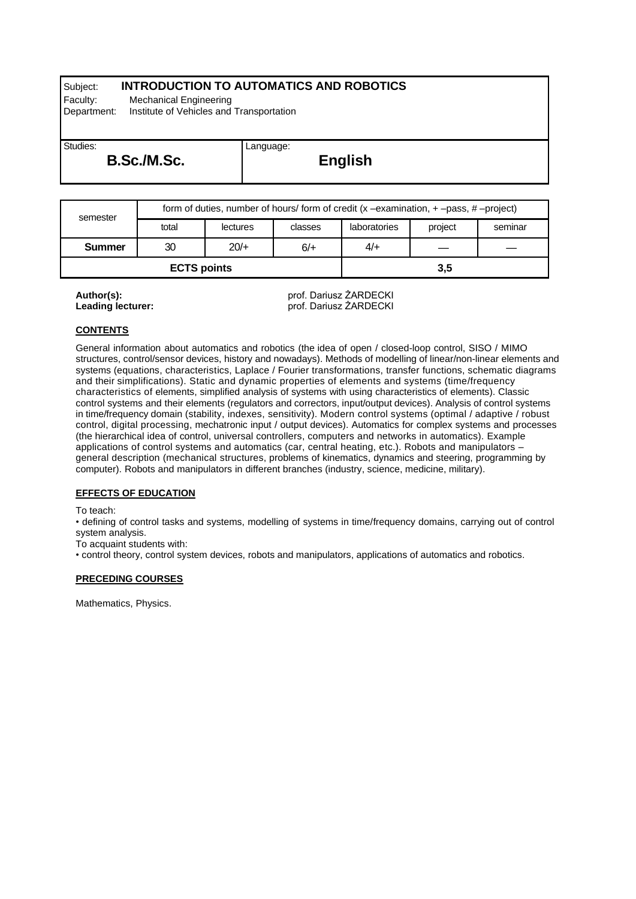# Subject: **INTRODUCTION TO AUTOMATICS AND ROBOTICS**

Language:

Faculty: Mechanical Engineering

Department: Institute of Vehicles and Transportation

Studies: **B.Sc./M.Sc.**

**English**

| semester           | form of duties, number of hours/form of credit $(x - e^x)$ –examination, $x + -p$ ass, $x + p$ –project) |          |         |              |         |         |
|--------------------|----------------------------------------------------------------------------------------------------------|----------|---------|--------------|---------|---------|
|                    | total                                                                                                    | lectures | classes | laboratories | project | seminar |
| <b>Summer</b>      | 30                                                                                                       | $20/+$   | $6/+$   | $4/+$        |         |         |
| <b>ECTS points</b> |                                                                                                          |          |         | 3,5          |         |         |

**Author(s):**<br> **Leading lecturer:**<br> **Leading lecturer:**<br> **Prof. Dariusz ŻARDECKI Leading lecturer:** prof. Dariusz ŻARDECKI

# **CONTENTS**

General information about automatics and robotics (the idea of open / closed-loop control, SISO / MIMO structures, control/sensor devices, history and nowadays). Methods of modelling of linear/non-linear elements and systems (equations, characteristics, Laplace / Fourier transformations, transfer functions, schematic diagrams and their simplifications). Static and dynamic properties of elements and systems (time/frequency characteristics of elements, simplified analysis of systems with using characteristics of elements). Classic control systems and their elements (regulators and correctors, input/output devices). Analysis of control systems in time/frequency domain (stability, indexes, sensitivity). Modern control systems (optimal / adaptive / robust control, digital processing, mechatronic input / output devices). Automatics for complex systems and processes (the hierarchical idea of control, universal controllers, computers and networks in automatics). Example applications of control systems and automatics (car, central heating, etc.). Robots and manipulators – general description (mechanical structures, problems of kinematics, dynamics and steering, programming by computer). Robots and manipulators in different branches (industry, science, medicine, military).

## **EFFECTS OF EDUCATION**

To teach:

• defining of control tasks and systems, modelling of systems in time/frequency domains, carrying out of control system analysis.

To acquaint students with:

• control theory, control system devices, robots and manipulators, applications of automatics and robotics.

## **PRECEDING COURSES**

Mathematics, Physics.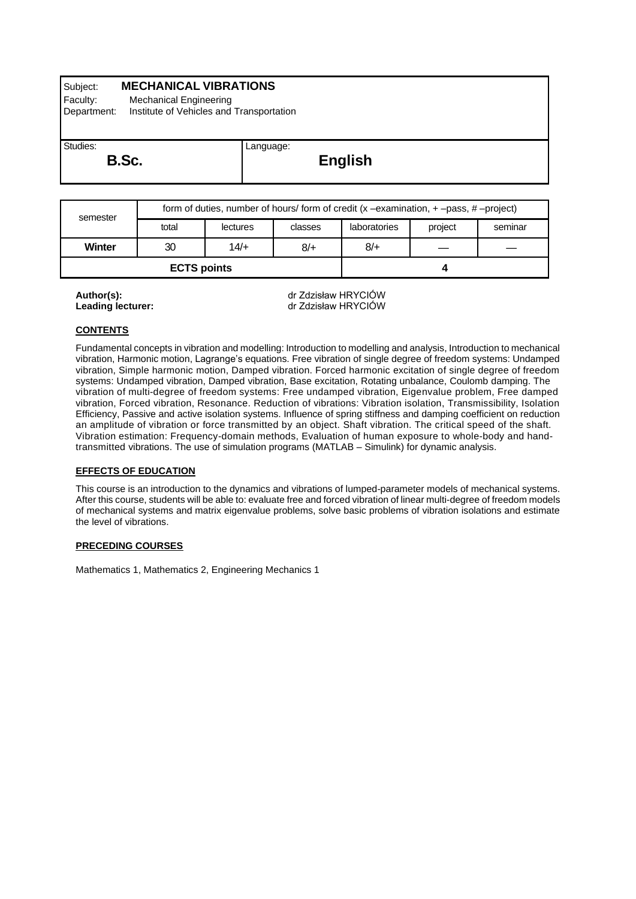# Subject: **MECHANICAL VIBRATIONS**

Faculty: Mechanical Engineering

Department: Institute of Vehicles and Transportation

Studies: **B.Sc.**

# **English**

| semester           | form of duties, number of hours/form of credit $(x - e^x)$ –examination, $x + -p$ ass, $x + p$ –project) |          |         |              |         |         |
|--------------------|----------------------------------------------------------------------------------------------------------|----------|---------|--------------|---------|---------|
|                    | total                                                                                                    | lectures | classes | laboratories | project | seminar |
| Winter             | 30                                                                                                       | $14/+$   | 8/      | 8/           |         |         |
| <b>ECTS points</b> |                                                                                                          |          |         |              |         |         |

Language:

## **CONTENTS**

Fundamental concepts in vibration and modelling: Introduction to modelling and analysis, Introduction to mechanical vibration, Harmonic motion, Lagrange's equations. Free vibration of single degree of freedom systems: Undamped vibration, Simple harmonic motion, Damped vibration. Forced harmonic excitation of single degree of freedom systems: Undamped vibration, Damped vibration, Base excitation, Rotating unbalance, Coulomb damping. The vibration of multi-degree of freedom systems: Free undamped vibration, Eigenvalue problem, Free damped vibration, Forced vibration, Resonance. Reduction of vibrations: Vibration isolation, Transmissibility, Isolation Efficiency, Passive and active isolation systems. Influence of spring stiffness and damping coefficient on reduction an amplitude of vibration or force transmitted by an object. Shaft vibration. The critical speed of the shaft. Vibration estimation: Frequency-domain methods, Evaluation of human exposure to whole-body and handtransmitted vibrations. The use of simulation programs (MATLAB – Simulink) for dynamic analysis.

## **EFFECTS OF EDUCATION**

This course is an introduction to the dynamics and vibrations of lumped-parameter models of mechanical systems. After this course, students will be able to: evaluate free and forced vibration of linear multi-degree of freedom models of mechanical systems and matrix eigenvalue problems, solve basic problems of vibration isolations and estimate the level of vibrations.

## **PRECEDING COURSES**

Mathematics 1, Mathematics 2, Engineering Mechanics 1

**Author(s):** dr Zdzisław HRYCIÓW **Leading lecturer:** dr Zdzisław HRYCIÓW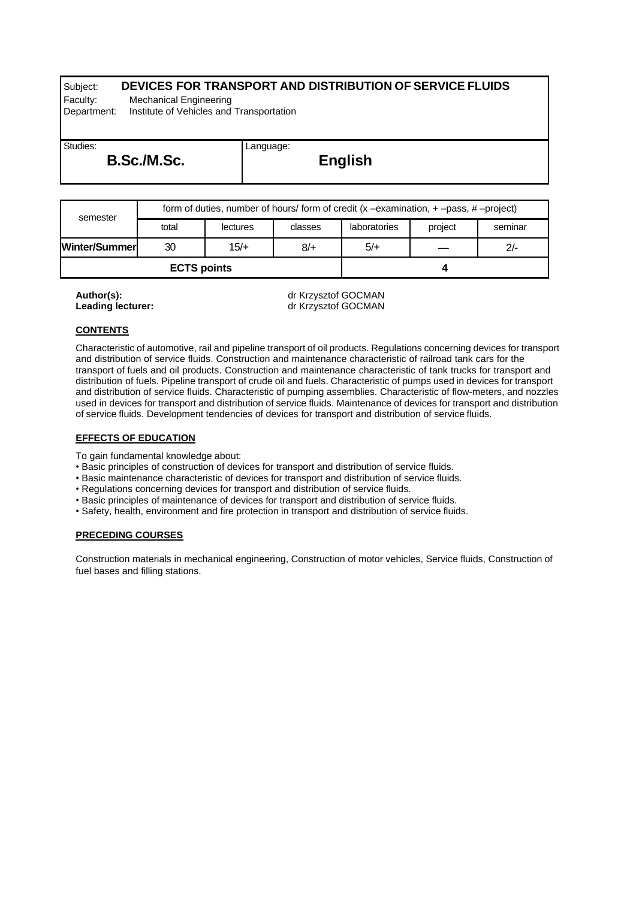# Subject: **DEVICES FOR TRANSPORT AND DISTRIBUTION OF SERVICE FLUIDS**

Language:

Faculty: Mechanical Engineering

Department: Institute of Vehicles and Transportation

Studies: **B.Sc./M.Sc.**

**English**

| semester           | form of duties, number of hours/ form of credit $(x -\text{examination}, +\text{–pass}, #-\text{project})$ |          |         |              |         |         |
|--------------------|------------------------------------------------------------------------------------------------------------|----------|---------|--------------|---------|---------|
|                    | total                                                                                                      | lectures | classes | laboratories | project | seminar |
| Winter/Summer      | 30                                                                                                         | $15/+$   | 8/      | $5/+$        |         | $2/-$   |
| <b>ECTS points</b> |                                                                                                            |          |         |              |         |         |

Auth**or(s):**<br> **Leading lecturer:**<br>
Leading lecturer:<br> **Community of the COCMAN Leading lecturer:** dr Krzysztof GOCMAN

# **CONTENTS**

Characteristic of automotive, rail and pipeline transport of oil products. Regulations concerning devices for transport and distribution of service fluids. Construction and maintenance characteristic of railroad tank cars for the transport of fuels and oil products. Construction and maintenance characteristic of tank trucks for transport and distribution of fuels. Pipeline transport of crude oil and fuels. Characteristic of pumps used in devices for transport and distribution of service fluids. Characteristic of pumping assemblies. Characteristic of flow-meters, and nozzles used in devices for transport and distribution of service fluids. Maintenance of devices for transport and distribution of service fluids. Development tendencies of devices for transport and distribution of service fluids.

# **EFFECTS OF EDUCATION**

To gain fundamental knowledge about:

- Basic principles of construction of devices for transport and distribution of service fluids.
- Basic maintenance characteristic of devices for transport and distribution of service fluids.
- Regulations concerning devices for transport and distribution of service fluids.
- Basic principles of maintenance of devices for transport and distribution of service fluids.
- Safety, health, environment and fire protection in transport and distribution of service fluids.

# **PRECEDING COURSES**

Construction materials in mechanical engineering, Construction of motor vehicles, Service fluids, Construction of fuel bases and filling stations.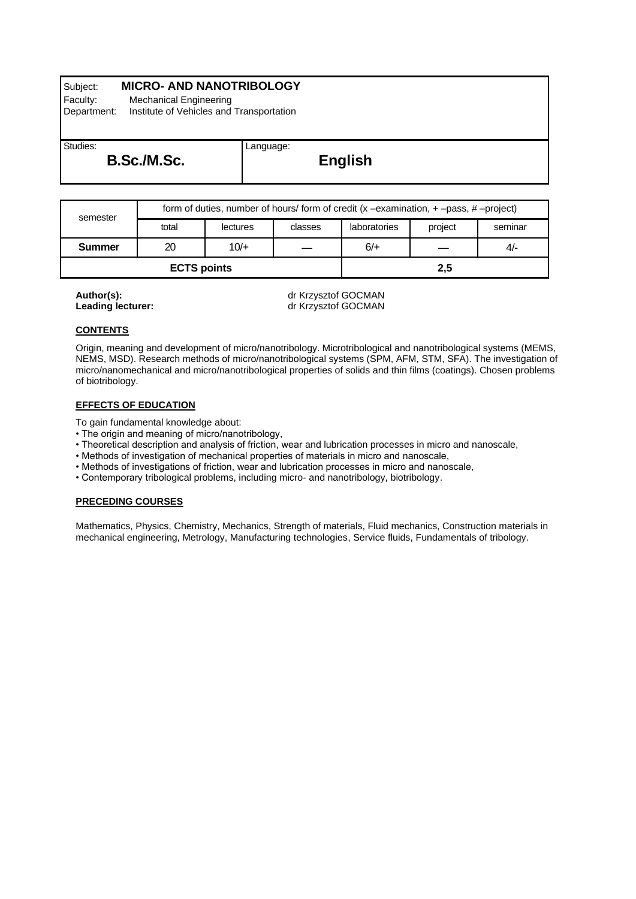# Subject: **MICRO- AND NANOTRIBOLOGY**

Faculty: Mechanical Engineering

Department: Institute of Vehicles and Transportation

Studies: **B.Sc./M.Sc.**

**English**

| semester           | form of duties, number of hours/form of credit $(x - e^x)$ –examination, $x + -p$ ass, $x + p$ –project) |          |         |              |         |         |
|--------------------|----------------------------------------------------------------------------------------------------------|----------|---------|--------------|---------|---------|
|                    | total                                                                                                    | lectures | classes | laboratories | project | seminar |
| <b>Summer</b>      | 20                                                                                                       | $10/+$   |         | $6/+$        |         | $4/-$   |
| <b>ECTS points</b> |                                                                                                          |          |         | 2,5          |         |         |

Language:

**Author(s):**<br> **Leading lecturer:**<br> **Leading lecturer:**<br> **COCMAN Leading lecturer:** dr Krzysztof GOCMAN

## **CONTENTS**

Origin, meaning and development of micro/nanotribology. Microtribological and nanotribological systems (MEMS, NEMS, MSD). Research methods of micro/nanotribological systems (SPM, AFM, STM, SFA). The investigation of micro/nanomechanical and micro/nanotribological properties of solids and thin films (coatings). Chosen problems of biotribology.

## **EFFECTS OF EDUCATION**

To gain fundamental knowledge about:

- The origin and meaning of micro/nanotribology,
- Theoretical description and analysis of friction, wear and lubrication processes in micro and nanoscale,
- Methods of investigation of mechanical properties of materials in micro and nanoscale,
- Methods of investigations of friction, wear and lubrication processes in micro and nanoscale,
- Contemporary tribological problems, including micro- and nanotribology, biotribology.

## **PRECEDING COURSES**

Mathematics, Physics, Chemistry, Mechanics, Strength of materials, Fluid mechanics, Construction materials in mechanical engineering, Metrology, Manufacturing technologies, Service fluids, Fundamentals of tribology.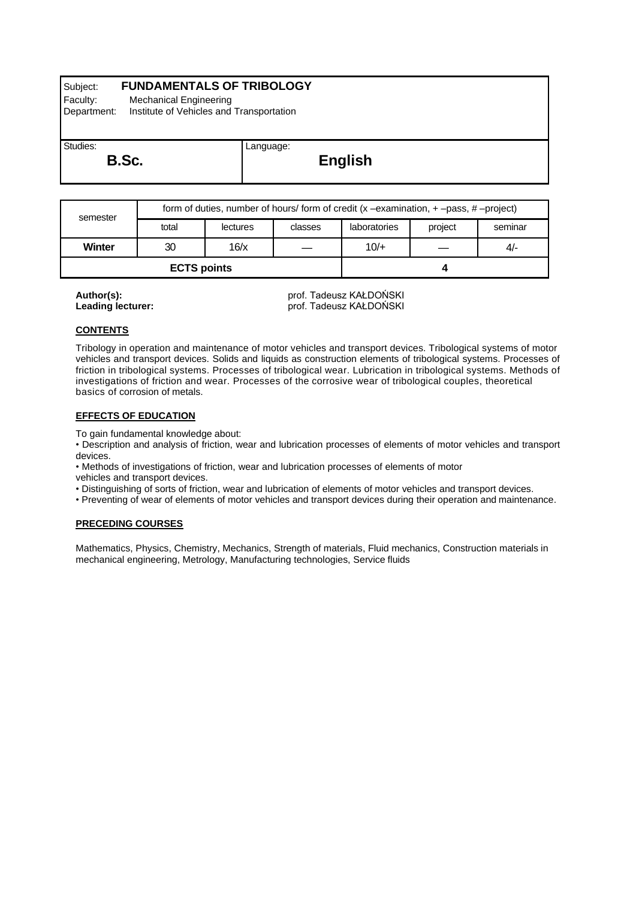# Subject: **FUNDAMENTALS OF TRIBOLOGY**

Faculty: Mechanical Engineering

Department: Institute of Vehicles and Transportation

Studies: **B.Sc.**

# **English**

| semester           | form of duties, number of hours/form of credit $(x - e^x)$ –examination, $x + -p$ ass, $x + p$ –project) |          |         |              |         |         |
|--------------------|----------------------------------------------------------------------------------------------------------|----------|---------|--------------|---------|---------|
|                    | total                                                                                                    | lectures | classes | laboratories | project | seminar |
| <b>Winter</b>      | 30                                                                                                       | 16/x     |         | $10/+$       |         | $4/-$   |
| <b>ECTS points</b> |                                                                                                          |          |         |              |         |         |

Language:

**Author(s):**<br> **Leading lecturer:**<br> **Leading lecturer:**<br> **Prof. Tadeusz KAŁDOŃSKI Leading lecturer:** prof. Tadeusz KAŁDOŃSKI

## **CONTENTS**

Tribology in operation and maintenance of motor vehicles and transport devices. Tribological systems of motor vehicles and transport devices. Solids and liquids as construction elements of tribological systems. Processes of friction in tribological systems. Processes of tribological wear. Lubrication in tribological systems. Methods of investigations of friction and wear. Processes of the corrosive wear of tribological couples, theoretical basics of corrosion of metals.

# **EFFECTS OF EDUCATION**

To gain fundamental knowledge about:

• Description and analysis of friction, wear and lubrication processes of elements of motor vehicles and transport devices.

• Methods of investigations of friction, wear and lubrication processes of elements of motor

vehicles and transport devices.

• Distinguishing of sorts of friction, wear and lubrication of elements of motor vehicles and transport devices.

• Preventing of wear of elements of motor vehicles and transport devices during their operation and maintenance.

## **PRECEDING COURSES**

Mathematics, Physics, Chemistry, Mechanics, Strength of materials, Fluid mechanics, Construction materials in mechanical engineering, Metrology, Manufacturing technologies, Service fluids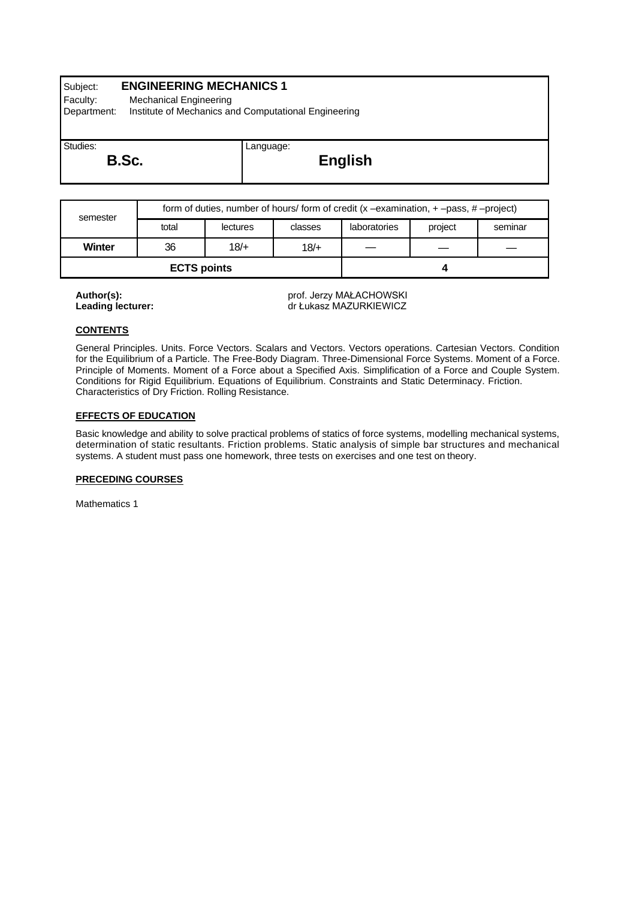# Subject: **ENGINEERING MECHANICS 1**

Faculty: Mechanical Engineering

Department: Institute of Mechanics and Computational Engineering

| Studies: |  |
|----------|--|
|          |  |

# **English**

| semester           | form of duties, number of hours/form of credit $(x - e^x)$ –examination, $x + -p$ ass, $x + p$ –project) |          |         |              |         |         |
|--------------------|----------------------------------------------------------------------------------------------------------|----------|---------|--------------|---------|---------|
|                    | total                                                                                                    | lectures | classes | laboratories | project | seminar |
| Winter             | 36                                                                                                       | $18/$ +  | $18/+$  |              |         |         |
| <b>ECTS points</b> |                                                                                                          |          |         |              |         |         |

Language:

**Author(s):**<br> **Leading lecturer:**<br> **Leading lecturer:**<br> **Author(S)**<br> **Author(S)**<br> **Author(S)**<br> **Author(S)**<br> **Author(S) Leading lecturer:** dr Łukasz MAZURKIEWICZ

#### **CONTENTS**

General Principles. Units. Force Vectors. Scalars and Vectors. Vectors operations. Cartesian Vectors. Condition for the Equilibrium of a Particle. The Free-Body Diagram. Three-Dimensional Force Systems. Moment of a Force. Principle of Moments. Moment of a Force about a Specified Axis. Simplification of a Force and Couple System. Conditions for Rigid Equilibrium. Equations of Equilibrium. Constraints and Static Determinacy. Friction. Characteristics of Dry Friction. Rolling Resistance.

## **EFFECTS OF EDUCATION**

Basic knowledge and ability to solve practical problems of statics of force systems, modelling mechanical systems, determination of static resultants. Friction problems. Static analysis of simple bar structures and mechanical systems. A student must pass one homework, three tests on exercises and one test on theory.

#### **PRECEDING COURSES**

Mathematics 1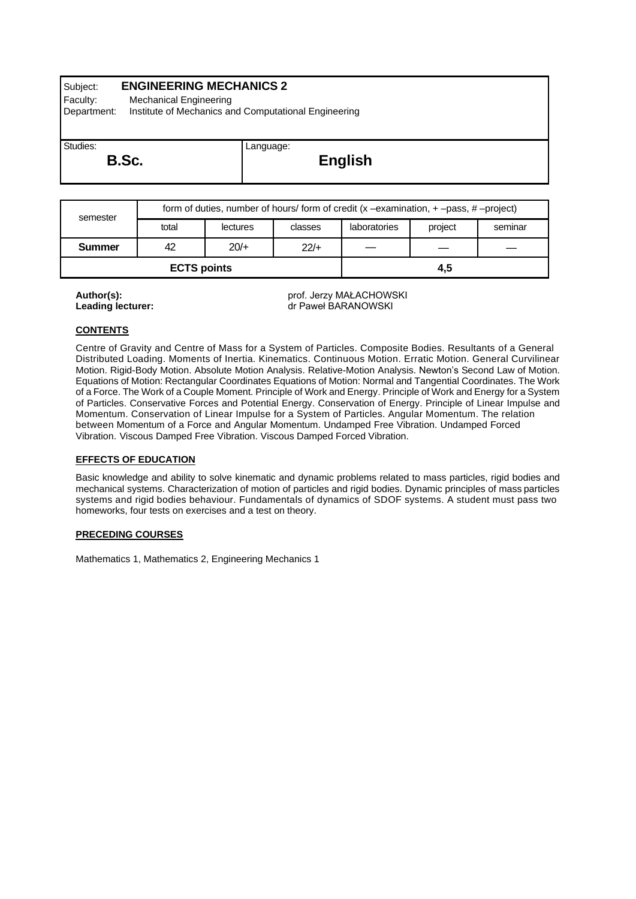# Subject: **ENGINEERING MECHANICS 2**

Faculty: Mechanical Engineering

Department: Institute of Mechanics and Computational Engineering

| Studies: |  |
|----------|--|
|          |  |

**English**

| semester           | form of duties, number of hours/ form of credit $(x -\text{examination}, +\text{–pass}, #-\text{project})$ |          |         |              |         |         |
|--------------------|------------------------------------------------------------------------------------------------------------|----------|---------|--------------|---------|---------|
|                    | total                                                                                                      | lectures | classes | laboratories | project | seminar |
| <b>Summer</b>      | 42                                                                                                         | $20/+$   | $22/+$  |              |         |         |
| <b>ECTS points</b> |                                                                                                            |          |         | 4,5          |         |         |

Language:

**Author(s):**<br> **Leading lecturer:**<br> **Leading lecturer:**<br> **Author(s)** prof. Jerzy MAŁACHOWSKI **Leading lecturer:** dr Paweł BARANOWSKI

#### **CONTENTS**

Centre of Gravity and Centre of Mass for a System of Particles. Composite Bodies. Resultants of a General Distributed Loading. Moments of Inertia. Kinematics. Continuous Motion. Erratic Motion. General Curvilinear Motion. Rigid-Body Motion. Absolute Motion Analysis. Relative-Motion Analysis. Newton's Second Law of Motion. Equations of Motion: Rectangular Coordinates Equations of Motion: Normal and Tangential Coordinates. The Work of a Force. The Work of a Couple Moment. Principle of Work and Energy. Principle of Work and Energy for a System of Particles. Conservative Forces and Potential Energy. Conservation of Energy. Principle of Linear Impulse and Momentum. Conservation of Linear Impulse for a System of Particles. Angular Momentum. The relation between Momentum of a Force and Angular Momentum. Undamped Free Vibration. Undamped Forced Vibration. Viscous Damped Free Vibration. Viscous Damped Forced Vibration.

## **EFFECTS OF EDUCATION**

Basic knowledge and ability to solve kinematic and dynamic problems related to mass particles, rigid bodies and mechanical systems. Characterization of motion of particles and rigid bodies. Dynamic principles of mass particles systems and rigid bodies behaviour. Fundamentals of dynamics of SDOF systems. A student must pass two homeworks, four tests on exercises and a test on theory.

#### **PRECEDING COURSES**

Mathematics 1, Mathematics 2, Engineering Mechanics 1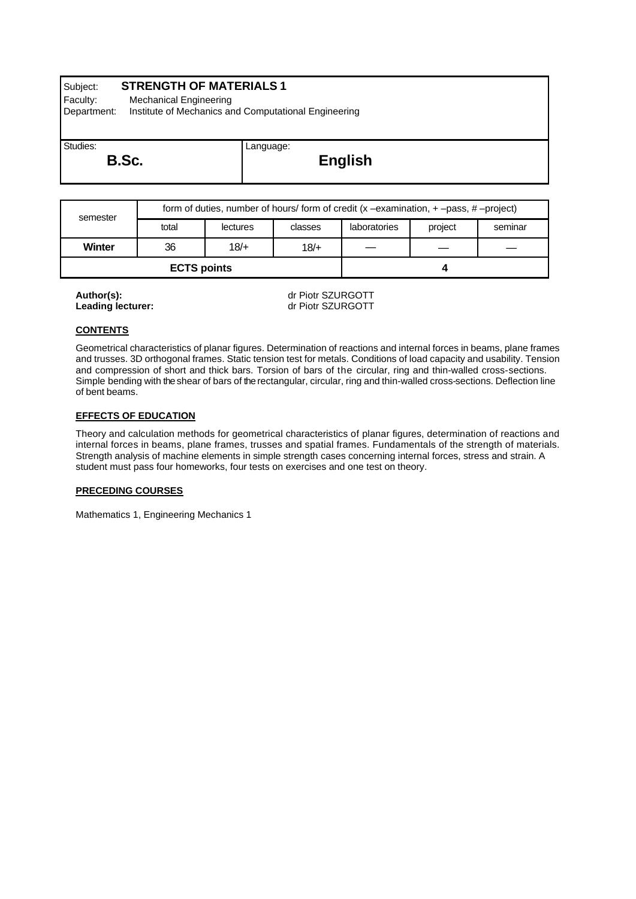# Subject: **STRENGTH OF MATERIALS 1**

Faculty: Mechanical Engineering

Department: Institute of Mechanics and Computational Engineering

| Studies: |  |
|----------|--|
|          |  |

# **English**

| semester           | form of duties, number of hours/form of credit $(x - e^x)$ –examination, $x + -p$ ass, $x + p$ –project) |          |         |              |         |         |  |
|--------------------|----------------------------------------------------------------------------------------------------------|----------|---------|--------------|---------|---------|--|
| total              |                                                                                                          | lectures | classes | laboratories | project | seminar |  |
| Winter             | 36                                                                                                       | 18/      | $18/+$  |              |         |         |  |
| <b>ECTS points</b> |                                                                                                          |          |         |              |         |         |  |

Language:

**Leading** lecturer:

**Author(s):**<br> **Leading lecturer:**<br> **Leading lecturer:**<br> **Comparison SCURGOTT** 

#### **CONTENTS**

Geometrical characteristics of planar figures. Determination of reactions and internal forces in beams, plane frames and trusses. 3D orthogonal frames. Static tension test for metals. Conditions of load capacity and usability. Tension and compression of short and thick bars. Torsion of bars of the circular, ring and thin-walled cross-sections. Simple bending with the shear of bars of the rectangular, circular, ring and thin-walled cross-sections. Deflection line of bent beams.

## **EFFECTS OF EDUCATION**

Theory and calculation methods for geometrical characteristics of planar figures, determination of reactions and internal forces in beams, plane frames, trusses and spatial frames. Fundamentals of the strength of materials. Strength analysis of machine elements in simple strength cases concerning internal forces, stress and strain. A student must pass four homeworks, four tests on exercises and one test on theory.

#### **PRECEDING COURSES**

Mathematics 1, Engineering Mechanics 1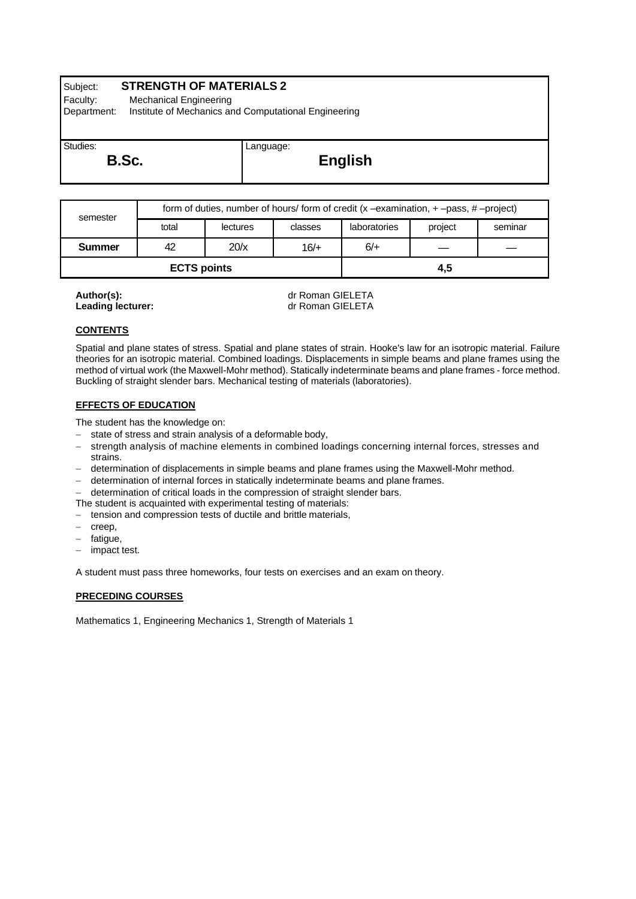# Subject: **STRENGTH OF MATERIALS 2**

Faculty: Mechanical Engineering

Department: Institute of Mechanics and Computational Engineering

| Studies: |  |
|----------|--|
|          |  |

# **English**

| semester           | form of duties, number of hours/form of credit $(x - e^x)$ –examination, $x + -p$ ass, $x + p$ –project) |          |         |              |         |         |  |
|--------------------|----------------------------------------------------------------------------------------------------------|----------|---------|--------------|---------|---------|--|
|                    | total                                                                                                    | lectures | classes | laboratories | project | seminar |  |
| <b>Summer</b>      | 20/x<br>$6/+$<br>42<br>16/1                                                                              |          |         |              |         |         |  |
| <b>ECTS points</b> |                                                                                                          |          |         | 4,5          |         |         |  |

Language:

**Leading** lecturer:

**Author(s):** dr Roman GIELETA

## **CONTENTS**

Spatial and plane states of stress. Spatial and plane states of strain. Hooke's law for an isotropic material. Failure theories for an isotropic material. Combined loadings. Displacements in simple beams and plane frames using the method of virtual work (the Maxwell-Mohr method). Statically indeterminate beams and plane frames - force method. Buckling of straight slender bars. Mechanical testing of materials (laboratories).

## **EFFECTS OF EDUCATION**

The student has the knowledge on:

- − state of stress and strain analysis of a deformable body,
- − strength analysis of machine elements in combined loadings concerning internal forces, stresses and strains.
- − determination of displacements in simple beams and plane frames using the Maxwell-Mohr method.
- − determination of internal forces in statically indeterminate beams and plane frames.
- − determination of critical loads in the compression of straight slender bars.
- The student is acquainted with experimental testing of materials:
- tension and compression tests of ductile and brittle materials,
- − creep,
- fatigue,
- impact test.

A student must pass three homeworks, four tests on exercises and an exam on theory.

## **PRECEDING COURSES**

Mathematics 1, Engineering Mechanics 1, Strength of Materials 1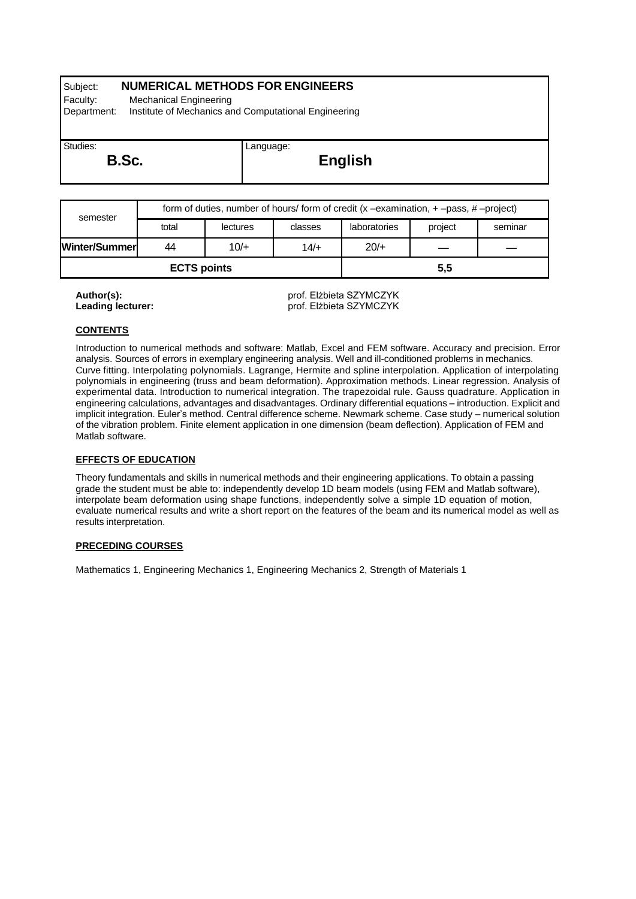# Subject: **NUMERICAL METHODS FOR ENGINEERS**

Faculty: Mechanical Engineering

Department: Institute of Mechanics and Computational Engineering

| Studies: |       |
|----------|-------|
|          | B.Sc. |

**English**

| semester           | form of duties, number of hours/form of credit $(x - e^x)$ –examination, $x + -p$ ass, $x + p$ –project) |          |         |              |         |         |  |
|--------------------|----------------------------------------------------------------------------------------------------------|----------|---------|--------------|---------|---------|--|
|                    | total                                                                                                    | lectures | classes | laboratories | project | seminar |  |
| Winter/Summer      | 44                                                                                                       | $10/+$   | $14/+$  | $20/+$       |         |         |  |
| <b>ECTS points</b> |                                                                                                          |          |         | 5.5          |         |         |  |

Language:

**Author(s):**<br> **Leading lecturer:**<br> **Leading lecturer:**<br> **Prof. Elżbieta SZYMCZYK Leading lecturer:** prof. Elżbieta SZYMCZYK

# **CONTENTS**

Introduction to numerical methods and software: Matlab, Excel and FEM software. Accuracy and precision. Error analysis. Sources of errors in exemplary engineering analysis. Well and ill-conditioned problems in mechanics. Curve fitting. Interpolating polynomials. Lagrange, Hermite and spline interpolation. Application of interpolating polynomials in engineering (truss and beam deformation). Approximation methods. Linear regression. Analysis of experimental data. Introduction to numerical integration. The trapezoidal rule. Gauss quadrature. Application in engineering calculations, advantages and disadvantages. Ordinary differential equations – introduction. Explicit and implicit integration. Euler's method. Central difference scheme. Newmark scheme. Case study – numerical solution of the vibration problem. Finite element application in one dimension (beam deflection). Application of FEM and Matlab software.

## **EFFECTS OF EDUCATION**

Theory fundamentals and skills in numerical methods and their engineering applications. To obtain a passing grade the student must be able to: independently develop 1D beam models (using FEM and Matlab software), interpolate beam deformation using shape functions, independently solve a simple 1D equation of motion, evaluate numerical results and write a short report on the features of the beam and its numerical model as well as results interpretation.

## **PRECEDING COURSES**

Mathematics 1, Engineering Mechanics 1, Engineering Mechanics 2, Strength of Materials 1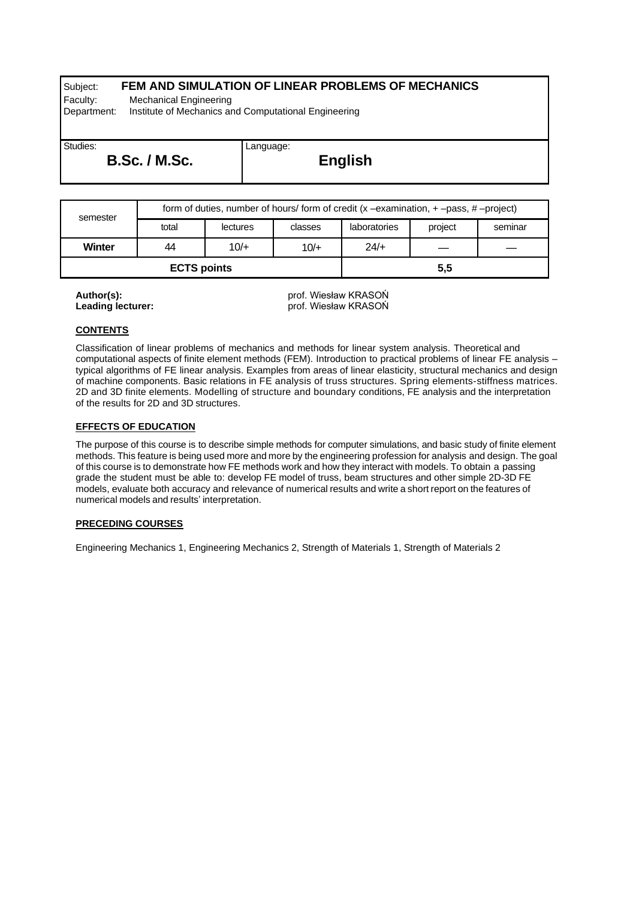# Subject: **FEM AND SIMULATION OF LINEAR PROBLEMS OF MECHANICS**

Language:

Faculty: Mechanical Engineering

Department: Institute of Mechanics and Computational Engineering

Studies: **B.Sc. / M.Sc.**

**English**

| semester           | form of duties, number of hours/form of credit $(x - e^x)$ –examination, $x + e^x$ –pass, $x + e^x$ –project) |          |         |              |         |         |  |
|--------------------|---------------------------------------------------------------------------------------------------------------|----------|---------|--------------|---------|---------|--|
|                    | total                                                                                                         | lectures | classes | laboratories | project | seminar |  |
| Winter             | 44                                                                                                            | $10/+$   | $10/+$  | $24/+$       |         |         |  |
| <b>ECTS points</b> |                                                                                                               |          |         | 5.5          |         |         |  |

**Author(s):** prof. Wiesław KRASOŃ **Leading lecturer:** prof. Wiesław KRASOŃ

## **CONTENTS**

Classification of linear problems of mechanics and methods for linear system analysis. Theoretical and computational aspects of finite element methods (FEM). Introduction to practical problems of linear FE analysis – typical algorithms of FE linear analysis. Examples from areas of linear elasticity, structural mechanics and design of machine components. Basic relations in FE analysis of truss structures. Spring elements-stiffness matrices. 2D and 3D finite elements. Modelling of structure and boundary conditions, FE analysis and the interpretation of the results for 2D and 3D structures.

# **EFFECTS OF EDUCATION**

The purpose of this course is to describe simple methods for computer simulations, and basic study of finite element methods. This feature is being used more and more by the engineering profession for analysis and design. The goal of this course is to demonstrate how FE methods work and how they interact with models. To obtain a passing grade the student must be able to: develop FE model of truss, beam structures and other simple 2D-3D FE models, evaluate both accuracy and relevance of numerical results and write a short report on the features of numerical models and results' interpretation.

## **PRECEDING COURSES**

Engineering Mechanics 1, Engineering Mechanics 2, Strength of Materials 1, Strength of Materials 2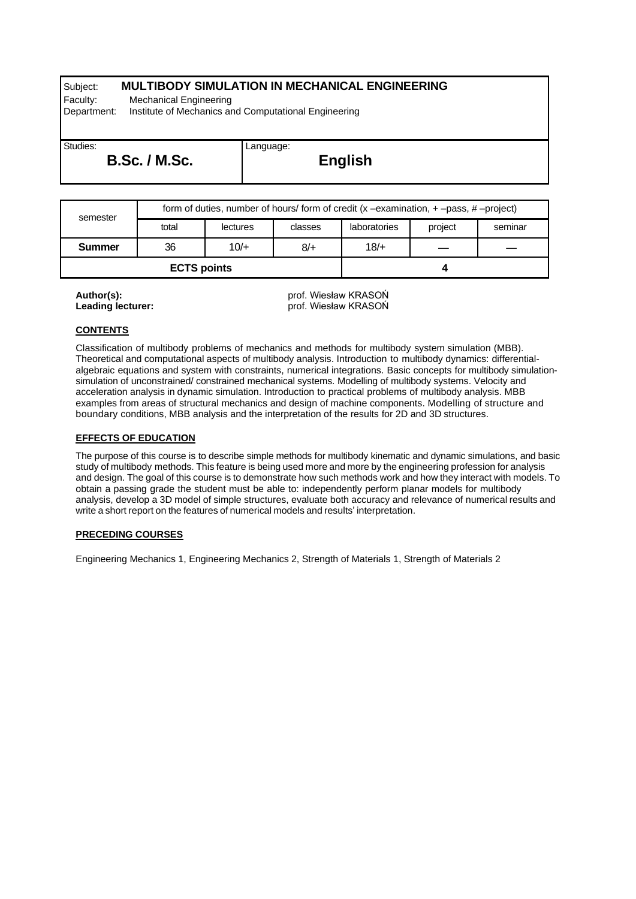# Subject: **MULTIBODY SIMULATION IN MECHANICAL ENGINEERING**

Language:

Faculty: Mechanical Engineering

Department: Institute of Mechanics and Computational Engineering

Studies: **B.Sc. / M.Sc.**

**English**

| semester           | form of duties, number of hours/ form of credit $(x -\text{examination}, +\text{–pass}, #-\text{project})$ |          |         |              |         |         |  |
|--------------------|------------------------------------------------------------------------------------------------------------|----------|---------|--------------|---------|---------|--|
|                    | total                                                                                                      | lectures | classes | laboratories | project | seminar |  |
| Summer             | 36                                                                                                         | $10/+$   | 8/      | $18/+$       |         |         |  |
| <b>ECTS points</b> |                                                                                                            |          |         |              |         |         |  |

**Author(s):** prof. Wiesław KRASOŃ **Leading lecturer:** prof. Wiesław KRASOŃ

## **CONTENTS**

Classification of multibody problems of mechanics and methods for multibody system simulation (MBB). Theoretical and computational aspects of multibody analysis. Introduction to multibody dynamics: differentialalgebraic equations and system with constraints, numerical integrations. Basic concepts for multibody simulationsimulation of unconstrained/ constrained mechanical systems. Modelling of multibody systems. Velocity and acceleration analysis in dynamic simulation. Introduction to practical problems of multibody analysis. MBB examples from areas of structural mechanics and design of machine components. Modelling of structure and boundary conditions, MBB analysis and the interpretation of the results for 2D and 3D structures.

## **EFFECTS OF EDUCATION**

The purpose of this course is to describe simple methods for multibody kinematic and dynamic simulations, and basic study of multibody methods. This feature is being used more and more by the engineering profession for analysis and design. The goal of this course is to demonstrate how such methods work and how they interact with models. To obtain a passing grade the student must be able to: independently perform planar models for multibody analysis, develop a 3D model of simple structures, evaluate both accuracy and relevance of numerical results and write a short report on the features of numerical models and results' interpretation.

#### **PRECEDING COURSES**

Engineering Mechanics 1, Engineering Mechanics 2, Strength of Materials 1, Strength of Materials 2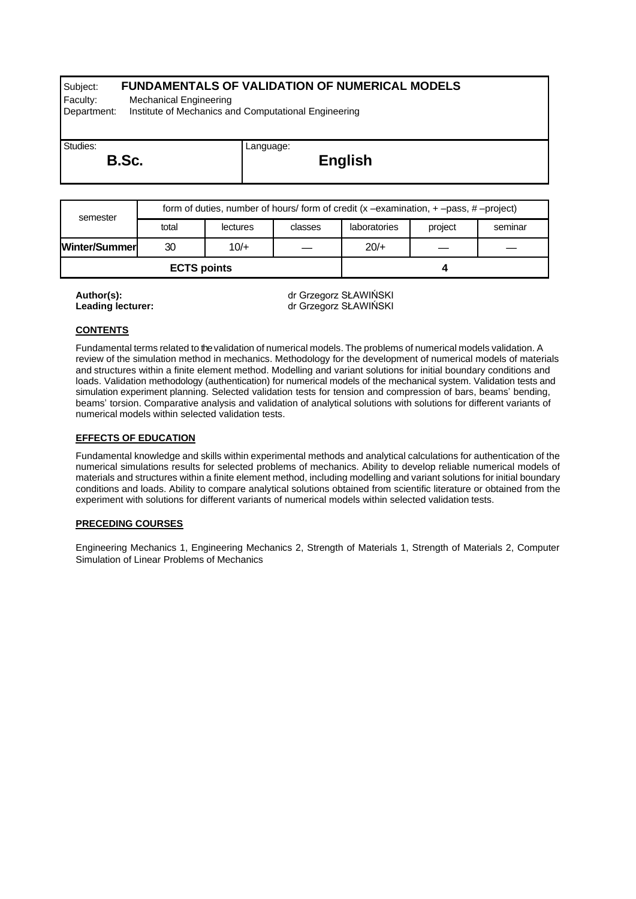# Subject: **FUNDAMENTALS OF VALIDATION OF NUMERICAL MODELS**

Language:

Faculty: Mechanical Engineering

Department: Institute of Mechanics and Computational Engineering

| Studies: |    |
|----------|----|
|          | B. |

**English**

| semester           | form of duties, number of hours/form of credit $(x - e^x)$ –examination, $x + e^x$ –pass, $x + e^x$ –project) |          |         |              |         |         |  |
|--------------------|---------------------------------------------------------------------------------------------------------------|----------|---------|--------------|---------|---------|--|
|                    | total                                                                                                         | lectures | classes | laboratories | project | seminar |  |
| Winter/Summerl     | 30                                                                                                            | $10/+$   |         | $20/+$       |         |         |  |
| <b>ECTS points</b> |                                                                                                               |          |         |              |         |         |  |

**Author(s):**<br> **Leading lecturer:**<br>
dr Grzegorz SŁAWIŃSKI **Leading lecturer:** dr Grzegorz SŁAWIŃSKI

## **CONTENTS**

Fundamental terms related to the validation of numerical models. The problems of numerical models validation. A review of the simulation method in mechanics. Methodology for the development of numerical models of materials and structures within a finite element method. Modelling and variant solutions for initial boundary conditions and loads. Validation methodology (authentication) for numerical models of the mechanical system. Validation tests and simulation experiment planning. Selected validation tests for tension and compression of bars, beams' bending, beams' torsion. Comparative analysis and validation of analytical solutions with solutions for different variants of numerical models within selected validation tests.

## **EFFECTS OF EDUCATION**

Fundamental knowledge and skills within experimental methods and analytical calculations for authentication of the numerical simulations results for selected problems of mechanics. Ability to develop reliable numerical models of materials and structures within a finite element method, including modelling and variant solutions for initial boundary conditions and loads. Ability to compare analytical solutions obtained from scientific literature or obtained from the experiment with solutions for different variants of numerical models within selected validation tests.

#### **PRECEDING COURSES**

Engineering Mechanics 1, Engineering Mechanics 2, Strength of Materials 1, Strength of Materials 2, Computer Simulation of Linear Problems of Mechanics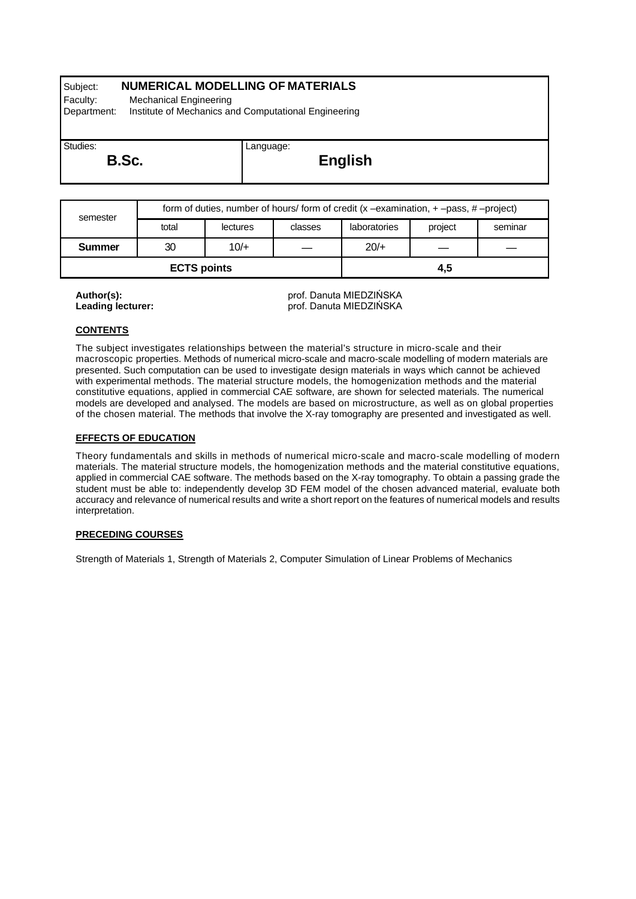# Subject: **NUMERICAL MODELLING OF MATERIALS**

Faculty: Mechanical Engineering

Department: Institute of Mechanics and Computational Engineering

| Studies: |       |
|----------|-------|
|          | B.Sc. |

| semester           | form of duties, number of hours/ form of credit $(x - e^x)$ – examination, $x + -p$ ass, $x + p$ – project) |          |         |              |         |         |  |
|--------------------|-------------------------------------------------------------------------------------------------------------|----------|---------|--------------|---------|---------|--|
|                    | total                                                                                                       | lectures | classes | laboratories | project | seminar |  |
| <b>Summer</b>      | 30                                                                                                          | $10/+$   |         | $20/+$       |         |         |  |
| <b>ECTS points</b> |                                                                                                             |          |         | 4,5          |         |         |  |

Language:

**Author(s):**<br> **Leading lecturer:**<br>
Leading lecturer:<br>
The manufaulty of the prof. Danuta MIEDZIŃSKA **Leading lecturer:** prof. Danuta MIEDZIŃSKA

## **CONTENTS**

The subject investigates relationships between the material's structure in micro-scale and their macroscopic properties. Methods of numerical micro-scale and macro-scale modelling of modern materials are presented. Such computation can be used to investigate design materials in ways which cannot be achieved with experimental methods. The material structure models, the homogenization methods and the material constitutive equations, applied in commercial CAE software, are shown for selected materials. The numerical models are developed and analysed. The models are based on microstructure, as well as on global properties of the chosen material. The methods that involve the X-ray tomography are presented and investigated as well.

## **EFFECTS OF EDUCATION**

Theory fundamentals and skills in methods of numerical micro-scale and macro-scale modelling of modern materials. The material structure models, the homogenization methods and the material constitutive equations, applied in commercial CAE software. The methods based on the X-ray tomography. To obtain a passing grade the student must be able to: independently develop 3D FEM model of the chosen advanced material, evaluate both accuracy and relevance of numerical results and write a short report on the features of numerical models and results interpretation.

## **PRECEDING COURSES**

Strength of Materials 1, Strength of Materials 2, Computer Simulation of Linear Problems of Mechanics